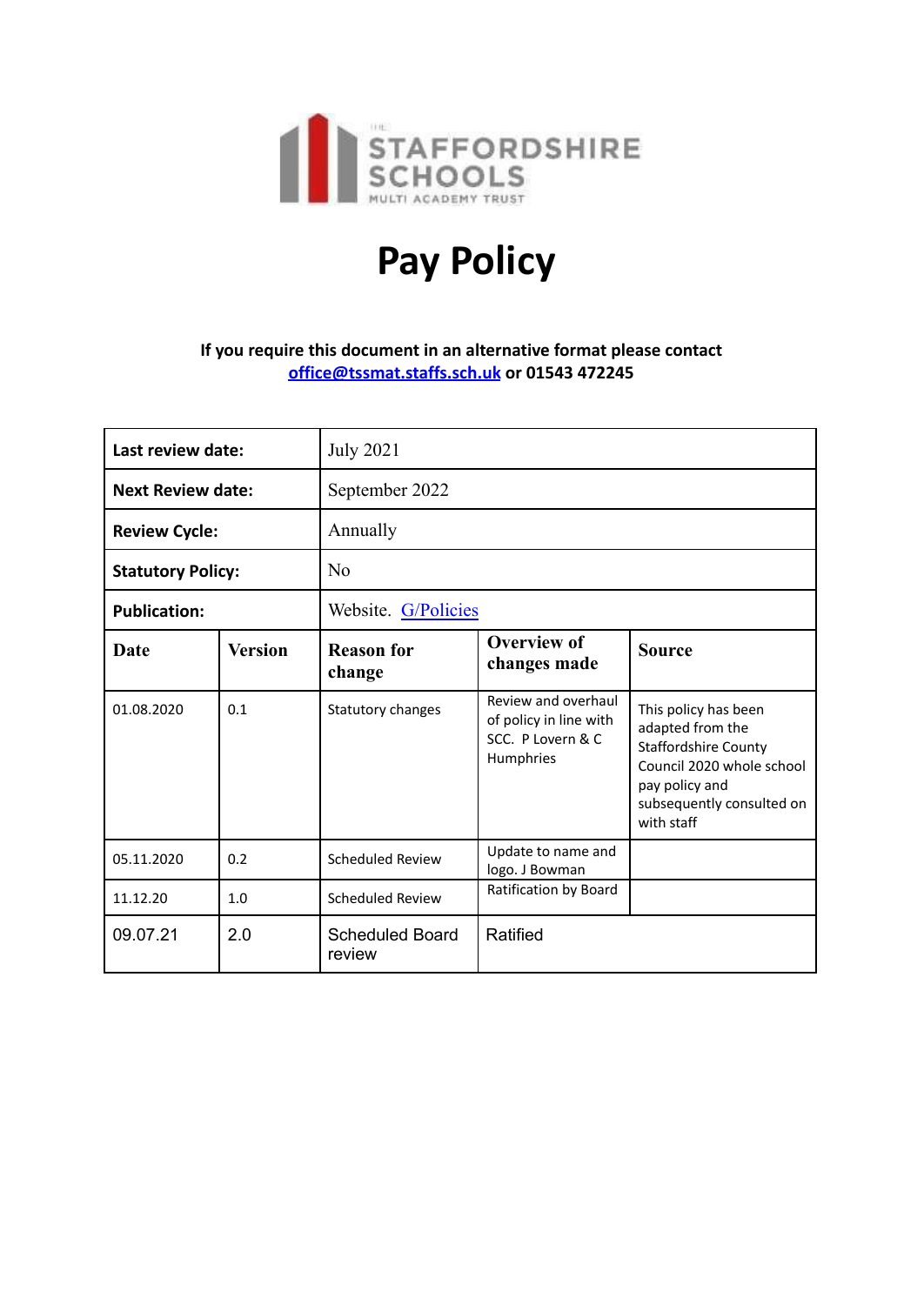

# **Pay Policy**

## **If you require this document in an alternative format please contact [office@tssmat.staffs.sch.uk](mailto:office@tssmat.staffs.sch.uk) or 01543 472245**

| Last review date:        |                | <b>July 2021</b>                 |                                                                                 |                                                                                                                                                                   |  |  |
|--------------------------|----------------|----------------------------------|---------------------------------------------------------------------------------|-------------------------------------------------------------------------------------------------------------------------------------------------------------------|--|--|
| <b>Next Review date:</b> |                | September 2022                   |                                                                                 |                                                                                                                                                                   |  |  |
| <b>Review Cycle:</b>     |                | Annually                         |                                                                                 |                                                                                                                                                                   |  |  |
| <b>Statutory Policy:</b> |                | No                               |                                                                                 |                                                                                                                                                                   |  |  |
| <b>Publication:</b>      |                | Website. G/Policies              |                                                                                 |                                                                                                                                                                   |  |  |
| <b>Date</b>              | <b>Version</b> | <b>Reason for</b><br>change      | <b>Overview of</b><br>changes made                                              | <b>Source</b>                                                                                                                                                     |  |  |
| 01.08.2020               | 0.1            | Statutory changes                | Review and overhaul<br>of policy in line with<br>SCC. P Lovern & C<br>Humphries | This policy has been<br>adapted from the<br><b>Staffordshire County</b><br>Council 2020 whole school<br>pay policy and<br>subsequently consulted on<br>with staff |  |  |
| 05.11.2020               | 0.2            | Scheduled Review                 | Update to name and<br>logo. J Bowman                                            |                                                                                                                                                                   |  |  |
| 11.12.20                 | 1.0            | <b>Scheduled Review</b>          | Ratification by Board                                                           |                                                                                                                                                                   |  |  |
| 09.07.21                 | 2.0            | <b>Scheduled Board</b><br>review | Ratified                                                                        |                                                                                                                                                                   |  |  |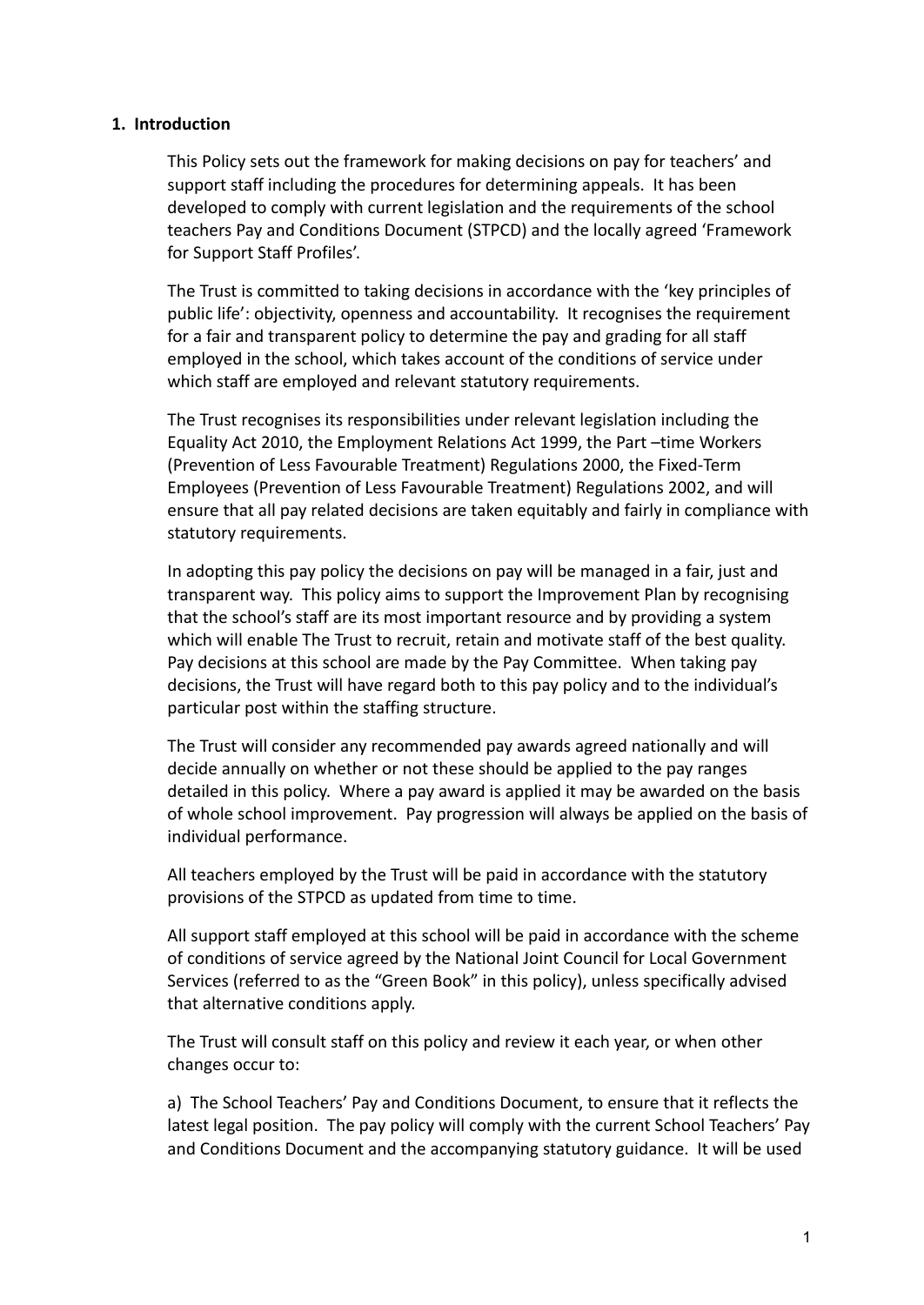#### **1. Introduction**

This Policy sets out the framework for making decisions on pay for teachers' and support staff including the procedures for determining appeals. It has been developed to comply with current legislation and the requirements of the school teachers Pay and Conditions Document (STPCD) and the locally agreed ['Framework](http://education.staffordshire.gov.uk/School-Admin/HR-Processes-Payroll/HR-Procedures/Job-Profiles/Summary-Documnets/JobDescriptionFramework.pdf) [for Support Staff Profiles'.](http://education.staffordshire.gov.uk/School-Admin/HR-Processes-Payroll/HR-Procedures/Job-Profiles/Summary-Documnets/JobDescriptionFramework.pdf)

The Trust is committed to taking decisions in accordance with the 'key principles of public life': objectivity, openness and accountability. It recognises the requirement for a fair and transparent policy to determine the pay and grading for all staff employed in the school, which takes account of the conditions of service under which staff are employed and relevant statutory requirements.

The Trust recognises its responsibilities under relevant legislation including the Equality Act 2010, the Employment Relations Act 1999, the Part –time Workers (Prevention of Less Favourable Treatment) Regulations 2000, the Fixed-Term Employees (Prevention of Less Favourable Treatment) Regulations 2002, and will ensure that all pay related decisions are taken equitably and fairly in compliance with statutory requirements.

In adopting this pay policy the decisions on pay will be managed in a fair, just and transparent way. This policy aims to support the Improvement Plan by recognising that the school's staff are its most important resource and by providing a system which will enable The Trust to recruit, retain and motivate staff of the best quality. Pay decisions at this school are made by the Pay Committee. When taking pay decisions, the Trust will have regard both to this pay policy and to the individual's particular post within the staffing structure.

The Trust will consider any recommended pay awards agreed nationally and will decide annually on whether or not these should be applied to the pay ranges detailed in this policy. Where a pay award is applied it may be awarded on the basis of whole school improvement. Pay progression will always be applied on the basis of individual performance.

All teachers employed by the Trust will be paid in accordance with the statutory provisions of the STPCD as updated from time to time.

All support staff employed at this school will be paid in accordance with the scheme of conditions of service agreed by the National Joint Council for Local Government Services (referred to as the "Green Book" in this policy), unless specifically advised that alternative conditions apply.

The Trust will consult staff on this policy and review it each year, or when other changes occur to:

a) The School Teachers' Pay and Conditions Document, to ensure that it reflects the latest legal position. The pay policy will comply with the current School Teachers' Pay and Conditions Document and the accompanying statutory guidance. It will be used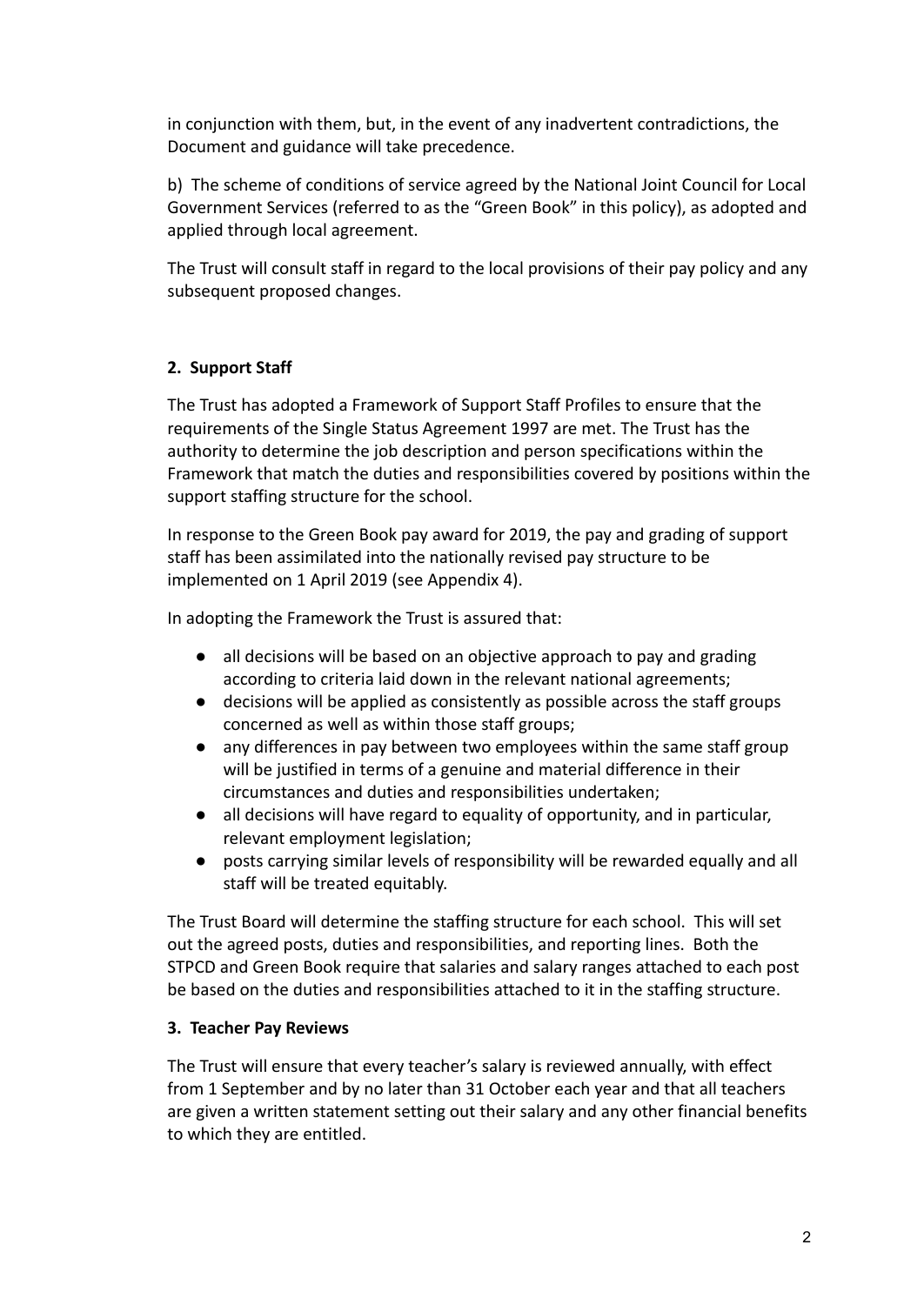in conjunction with them, but, in the event of any inadvertent contradictions, the Document and guidance will take precedence.

b) The scheme of conditions of service agreed by the National Joint Council for Local Government Services (referred to as the "Green Book" in this policy), as adopted and applied through local agreement.

The Trust will consult staff in regard to the local provisions of their pay policy and any subsequent proposed changes.

## **2. Support Staff**

The Trust has adopted a Framework of Support Staff Profiles to ensure that the requirements of the Single Status Agreement 1997 are met. The Trust has the authority to determine the job description and person specifications within the Framework that match the duties and responsibilities covered by positions within the support staffing structure for the school.

In response to the Green Book pay award for 2019, the pay and grading of support staff has been assimilated into the nationally revised pay structure to be implemented on 1 April 2019 (see Appendix 4).

In adopting the Framework the Trust is assured that:

- all decisions will be based on an objective approach to pay and grading according to criteria laid down in the relevant national agreements;
- decisions will be applied as consistently as possible across the staff groups concerned as well as within those staff groups;
- any differences in pay between two employees within the same staff group will be justified in terms of a genuine and material difference in their circumstances and duties and responsibilities undertaken;
- all decisions will have regard to equality of opportunity, and in particular, relevant employment legislation;
- posts carrying similar levels of responsibility will be rewarded equally and all staff will be treated equitably.

The Trust Board will determine the staffing structure for each school. This will set out the agreed posts, duties and responsibilities, and reporting lines. Both the STPCD and Green Book require that salaries and salary ranges attached to each post be based on the duties and responsibilities attached to it in the staffing structure.

## **3. Teacher Pay Reviews**

The Trust will ensure that every teacher's salary is reviewed annually, with effect from 1 September and by no later than 31 October each year and that all teachers are given a written statement setting out their salary and any other financial benefits to which they are entitled.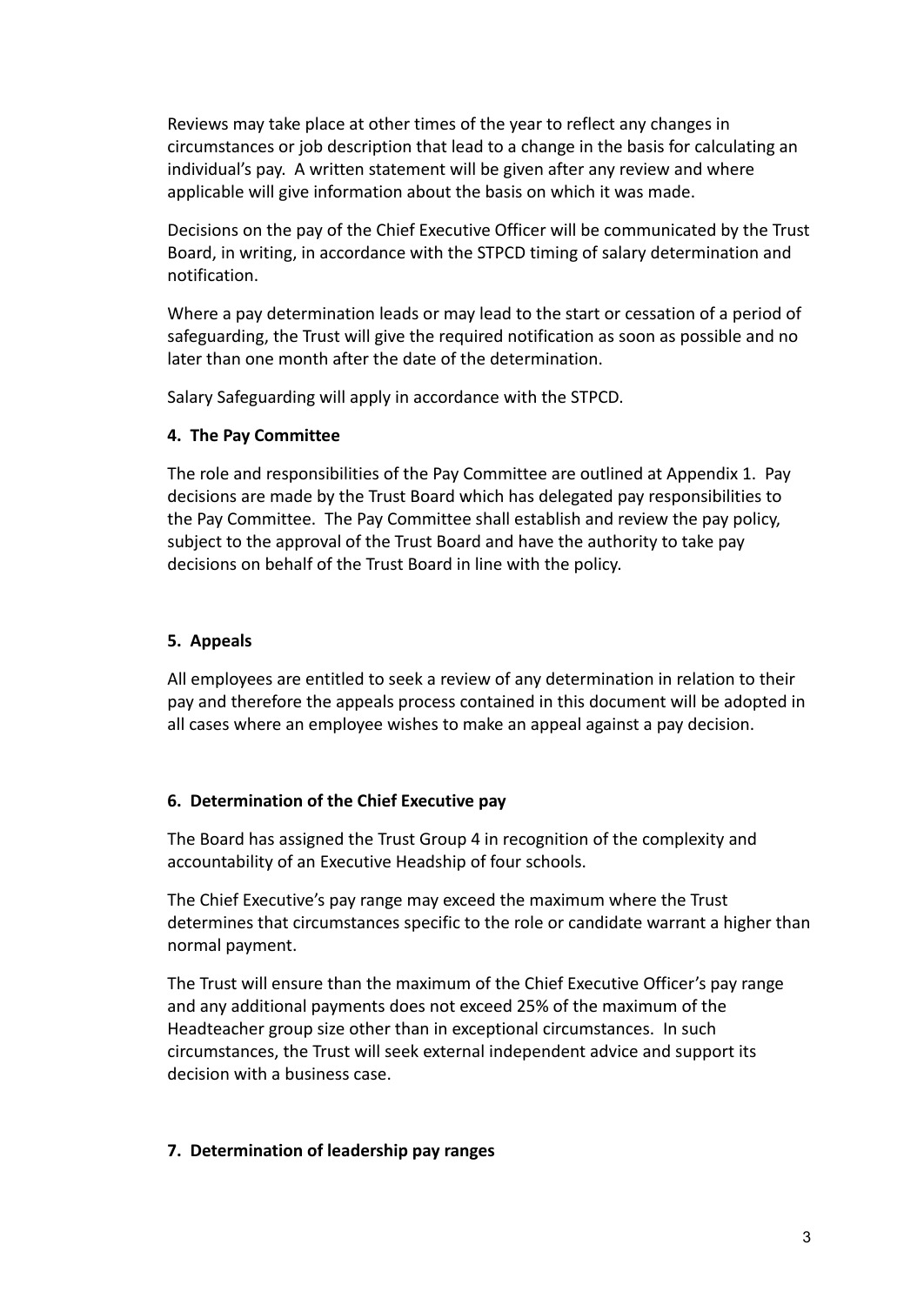Reviews may take place at other times of the year to reflect any changes in circumstances or job description that lead to a change in the basis for calculating an individual's pay. A written statement will be given after any review and where applicable will give information about the basis on which it was made.

Decisions on the pay of the Chief Executive Officer will be communicated by the Trust Board, in writing, in accordance with the STPCD timing of salary determination and notification.

Where a pay determination leads or may lead to the start or cessation of a period of safeguarding, the Trust will give the required notification as soon as possible and no later than one month after the date of the determination.

Salary Safeguarding will apply in accordance with the STPCD.

## **4. The Pay Committee**

The role and responsibilities of the Pay Committee are outlined at Appendix 1. Pay decisions are made by the Trust Board which has delegated pay responsibilities to the Pay Committee. The Pay Committee shall establish and review the pay policy, subject to the approval of the Trust Board and have the authority to take pay decisions on behalf of the Trust Board in line with the policy.

## **5. Appeals**

All employees are entitled to seek a review of any determination in relation to their pay and therefore the appeals process contained in this document will be adopted in all cases where an employee wishes to make an appeal against a pay decision.

## **6. Determination of the Chief Executive pay**

The Board has assigned the Trust Group 4 in recognition of the complexity and accountability of an Executive Headship of four schools.

The Chief Executive's pay range may exceed the maximum where the Trust determines that circumstances specific to the role or candidate warrant a higher than normal payment.

The Trust will ensure than the maximum of the Chief Executive Officer's pay range and any additional payments does not exceed 25% of the maximum of the Headteacher group size other than in exceptional circumstances. In such circumstances, the Trust will seek external independent advice and support its decision with a business case.

#### **7. Determination of leadership pay ranges**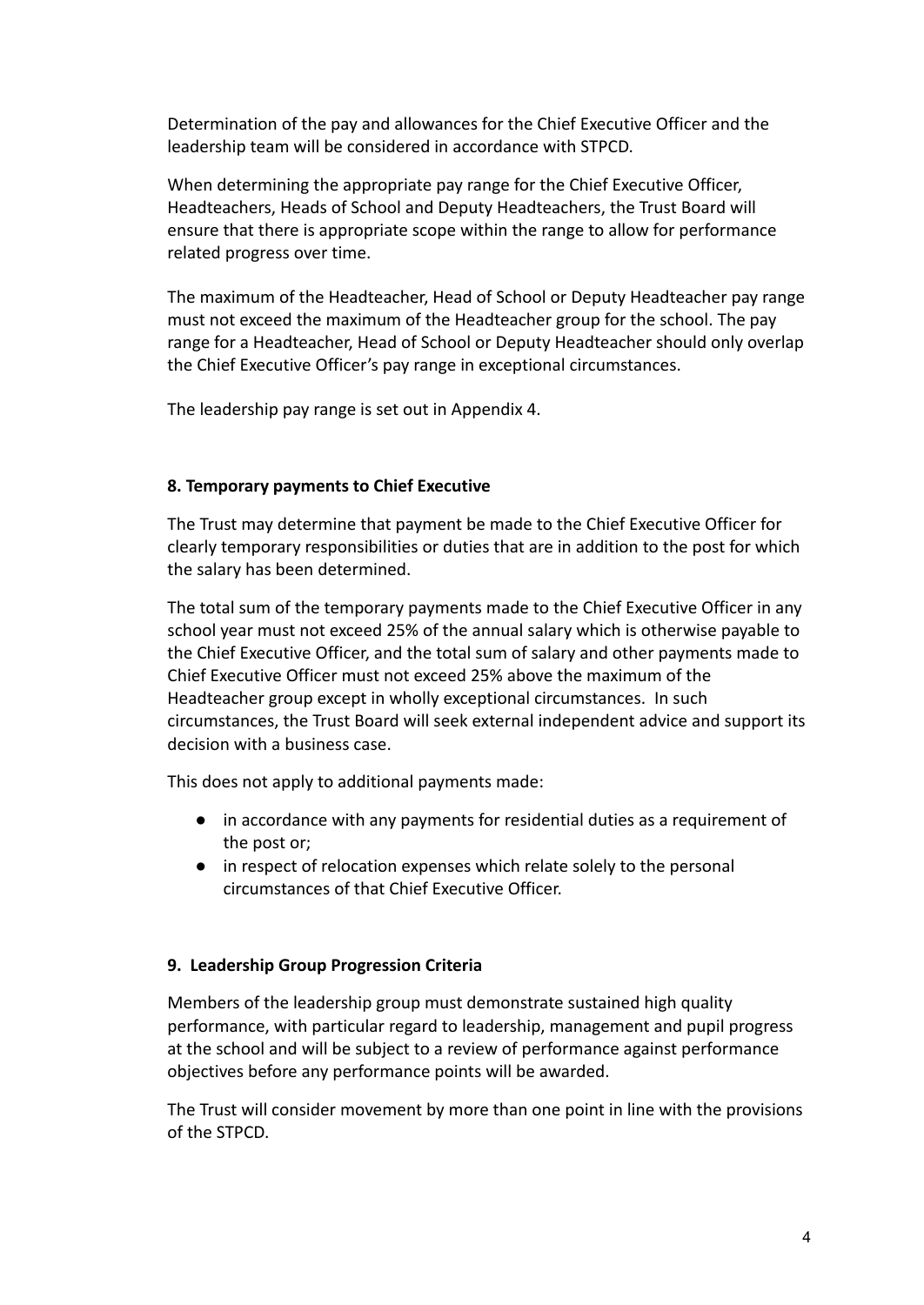Determination of the pay and allowances for the Chief Executive Officer and the leadership team will be considered in accordance with STPCD.

When determining the appropriate pay range for the Chief Executive Officer, Headteachers, Heads of School and Deputy Headteachers, the Trust Board will ensure that there is appropriate scope within the range to allow for performance related progress over time.

The maximum of the Headteacher, Head of School or Deputy Headteacher pay range must not exceed the maximum of the Headteacher group for the school. The pay range for a Headteacher, Head of School or Deputy Headteacher should only overlap the Chief Executive Officer's pay range in exceptional circumstances.

The leadership pay range is set out in Appendix 4.

#### **8. Temporary payments to Chief Executive**

The Trust may determine that payment be made to the Chief Executive Officer for clearly temporary responsibilities or duties that are in addition to the post for which the salary has been determined.

The total sum of the temporary payments made to the Chief Executive Officer in any school year must not exceed 25% of the annual salary which is otherwise payable to the Chief Executive Officer, and the total sum of salary and other payments made to Chief Executive Officer must not exceed 25% above the maximum of the Headteacher group except in wholly exceptional circumstances. In such circumstances, the Trust Board will seek external independent advice and support its decision with a business case.

This does not apply to additional payments made:

- in accordance with any payments for residential duties as a requirement of the post or;
- in respect of relocation expenses which relate solely to the personal circumstances of that Chief Executive Officer.

#### **9. Leadership Group Progression Criteria**

Members of the leadership group must demonstrate sustained high quality performance, with particular regard to leadership, management and pupil progress at the school and will be subject to a review of performance against performance objectives before any performance points will be awarded.

The Trust will consider movement by more than one point in line with the provisions of the STPCD.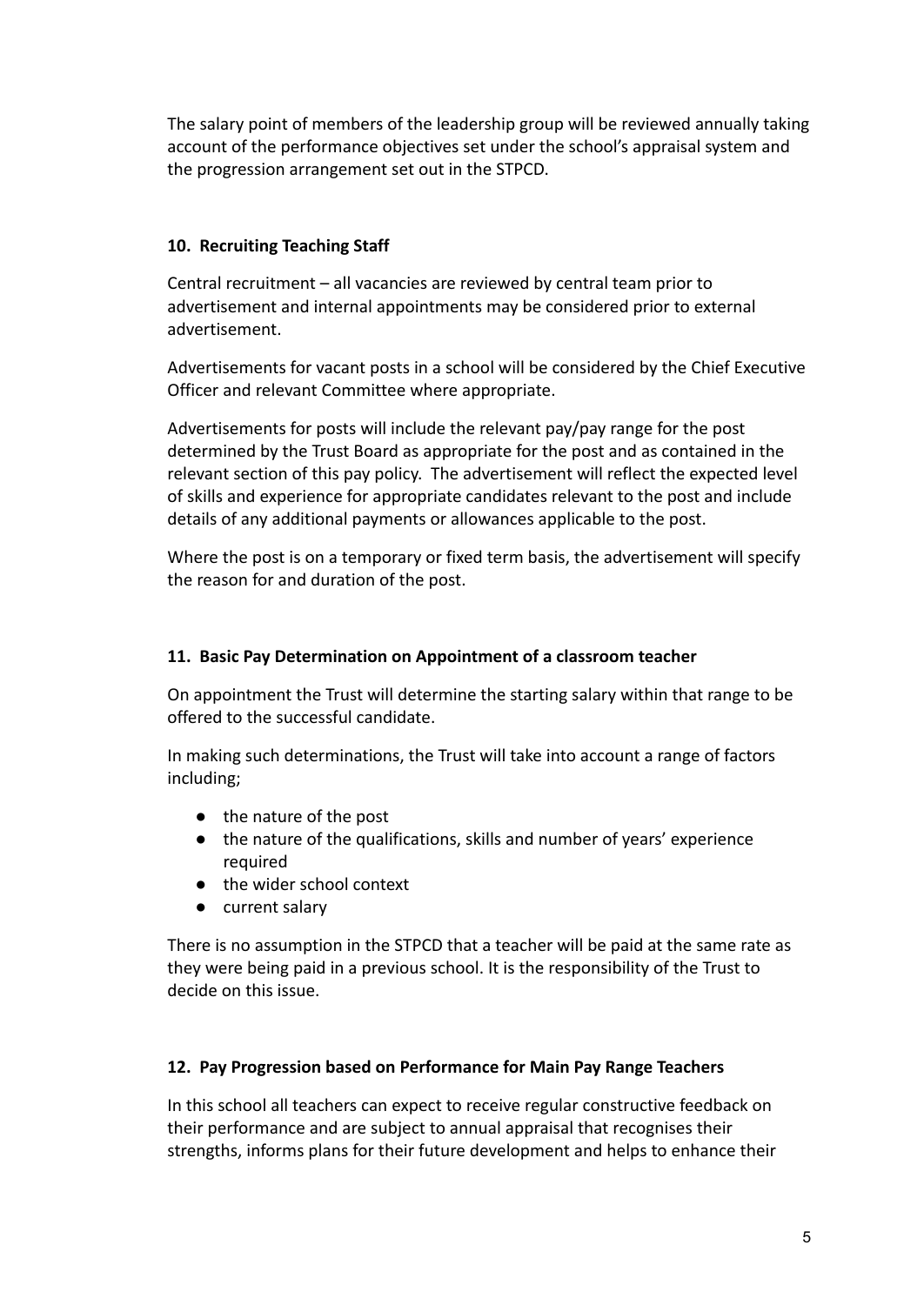The salary point of members of the leadership group will be reviewed annually taking account of the performance objectives set under the school's appraisal system and the progression arrangement set out in the STPCD.

## **10. Recruiting Teaching Staff**

Central recruitment – all vacancies are reviewed by central team prior to advertisement and internal appointments may be considered prior to external advertisement.

Advertisements for vacant posts in a school will be considered by the Chief Executive Officer and relevant Committee where appropriate.

Advertisements for posts will include the relevant pay/pay range for the post determined by the Trust Board as appropriate for the post and as contained in the relevant section of this pay policy. The advertisement will reflect the expected level of skills and experience for appropriate candidates relevant to the post and include details of any additional payments or allowances applicable to the post.

Where the post is on a temporary or fixed term basis, the advertisement will specify the reason for and duration of the post.

## **11. Basic Pay Determination on Appointment of a classroom teacher**

On appointment the Trust will determine the starting salary within that range to be offered to the successful candidate.

In making such determinations, the Trust will take into account a range of factors including;

- the nature of the post
- the nature of the qualifications, skills and number of years' experience required
- the wider school context
- current salary

There is no assumption in the STPCD that a teacher will be paid at the same rate as they were being paid in a previous school. It is the responsibility of the Trust to decide on this issue.

## **12. Pay Progression based on Performance for Main Pay Range Teachers**

In this school all teachers can expect to receive regular constructive feedback on their performance and are subject to annual appraisal that recognises their strengths, informs plans for their future development and helps to enhance their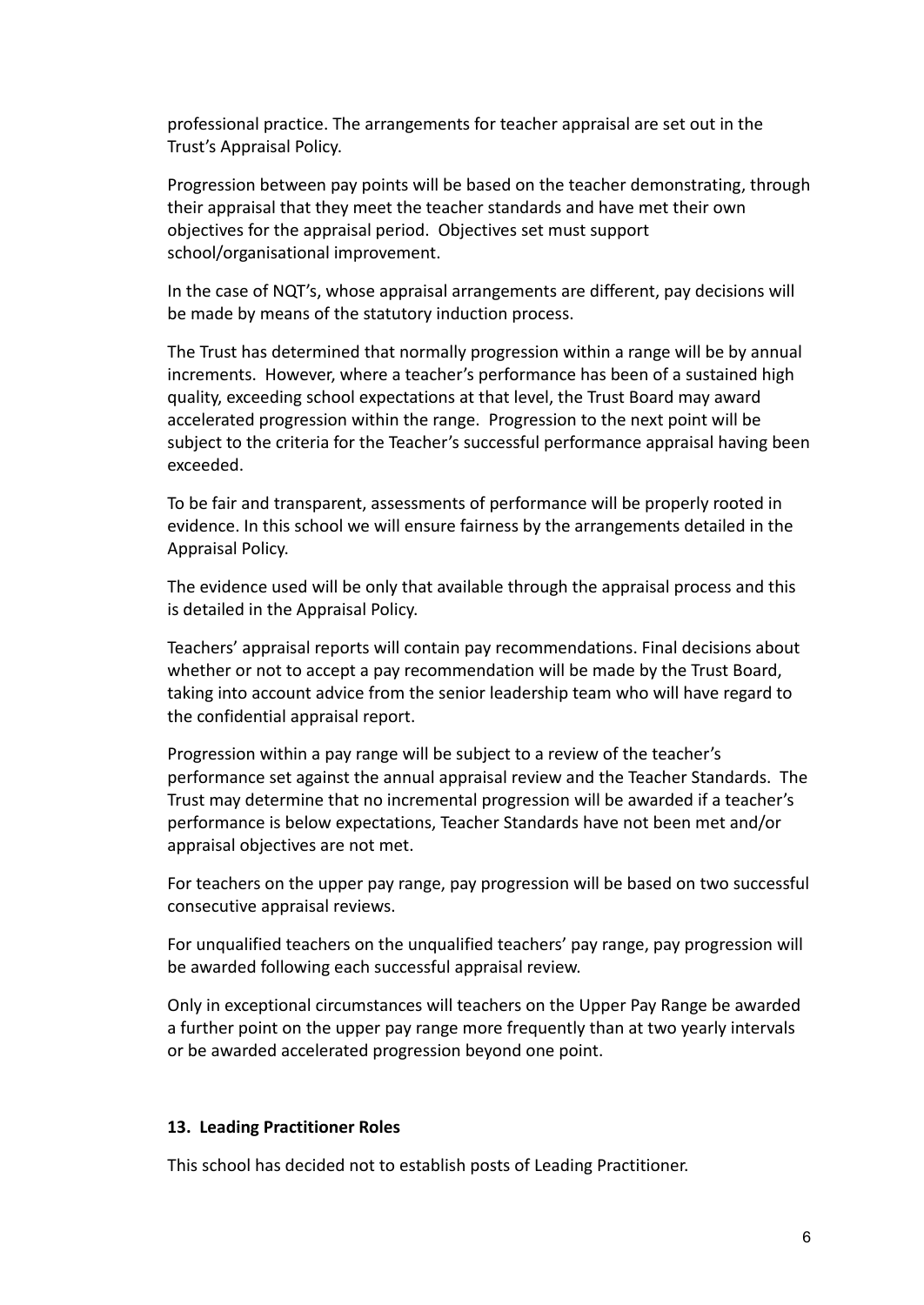professional practice. The arrangements for teacher appraisal are set out in the Trust's Appraisal Policy.

Progression between pay points will be based on the teacher demonstrating, through their appraisal that they meet the teacher standards and have met their own objectives for the appraisal period. Objectives set must support school/organisational improvement.

In the case of NQT's, whose appraisal arrangements are different, pay decisions will be made by means of the statutory induction process.

The Trust has determined that normally progression within a range will be by annual increments. However, where a teacher's performance has been of a sustained high quality, exceeding school expectations at that level, the Trust Board may award accelerated progression within the range. Progression to the next point will be subject to the criteria for the Teacher's successful performance appraisal having been exceeded.

To be fair and transparent, assessments of performance will be properly rooted in evidence. In this school we will ensure fairness by the arrangements detailed in the [Appraisal Policy.](http://education.staffordshire.gov.uk/School-Admin/HR-Processes-Payroll/HR-Procedures/Performance-Management/2012-Teacher-Appraisal-Policy.aspx)

The evidence used will be only that available through the appraisal process and this is detailed in the Appraisal Policy.

Teachers' appraisal reports will contain pay recommendations. Final decisions about whether or not to accept a pay recommendation will be made by the Trust Board, taking into account advice from the senior leadership team who will have regard to the confidential appraisal report.

Progression within a pay range will be subject to a review of the teacher's performance set against the annual appraisal review and the Teacher Standards. The Trust may determine that no incremental progression will be awarded if a teacher's performance is below expectations, Teacher Standards have not been met and/or appraisal objectives are not met.

For teachers on the upper pay range, pay progression will be based on two successful consecutive appraisal reviews.

For unqualified teachers on the unqualified teachers' pay range, pay progression will be awarded following each successful appraisal review.

Only in exceptional circumstances will teachers on the Upper Pay Range be awarded a further point on the upper pay range more frequently than at two yearly intervals or be awarded accelerated progression beyond one point.

#### **13. Leading Practitioner Roles**

This school has decided not to establish posts of Leading Practitioner.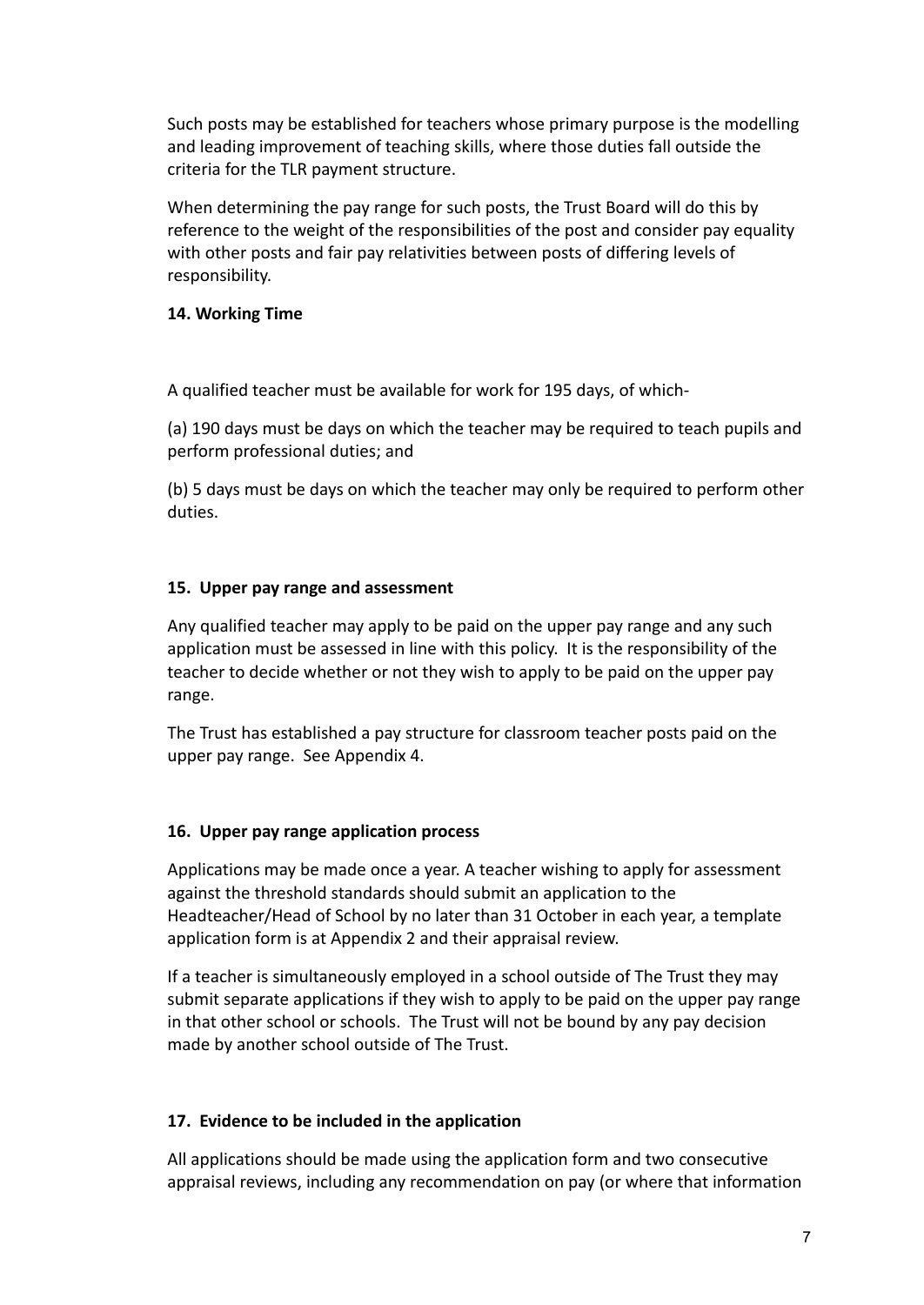Such posts may be established for teachers whose primary purpose is the modelling and leading improvement of teaching skills, where those duties fall outside the criteria for the TLR payment structure.

When determining the pay range for such posts, the Trust Board will do this by reference to the weight of the responsibilities of the post and consider pay equality with other posts and fair pay relativities between posts of differing levels of responsibility.

#### **14. Working Time**

A qualified teacher must be available for work for 195 days, of which-

(a) 190 days must be days on which the teacher may be required to teach pupils and perform professional duties; and

(b) 5 days must be days on which the teacher may only be required to perform other duties.

## **15. Upper pay range and assessment**

Any qualified teacher may apply to be paid on the upper pay range and any such application must be assessed in line with this policy. It is the responsibility of the teacher to decide whether or not they wish to apply to be paid on the upper pay range.

The Trust has established a pay structure for classroom teacher posts paid on the upper pay range. See Appendix 4.

#### **16. Upper pay range application process**

Applications may be made once a year. A teacher wishing to apply for assessment against the threshold standards should submit an application to the Headteacher/Head of School by no later than 31 October in each year, a template application form is at Appendix 2 and their appraisal review.

If a teacher is simultaneously employed in a school outside of The Trust they may submit separate applications if they wish to apply to be paid on the upper pay range in that other school or schools. The Trust will not be bound by any pay decision made by another school outside of The Trust.

## **17. Evidence to be included in the application**

All applications should be made using the application form and two consecutive appraisal reviews, including any recommendation on pay (or where that information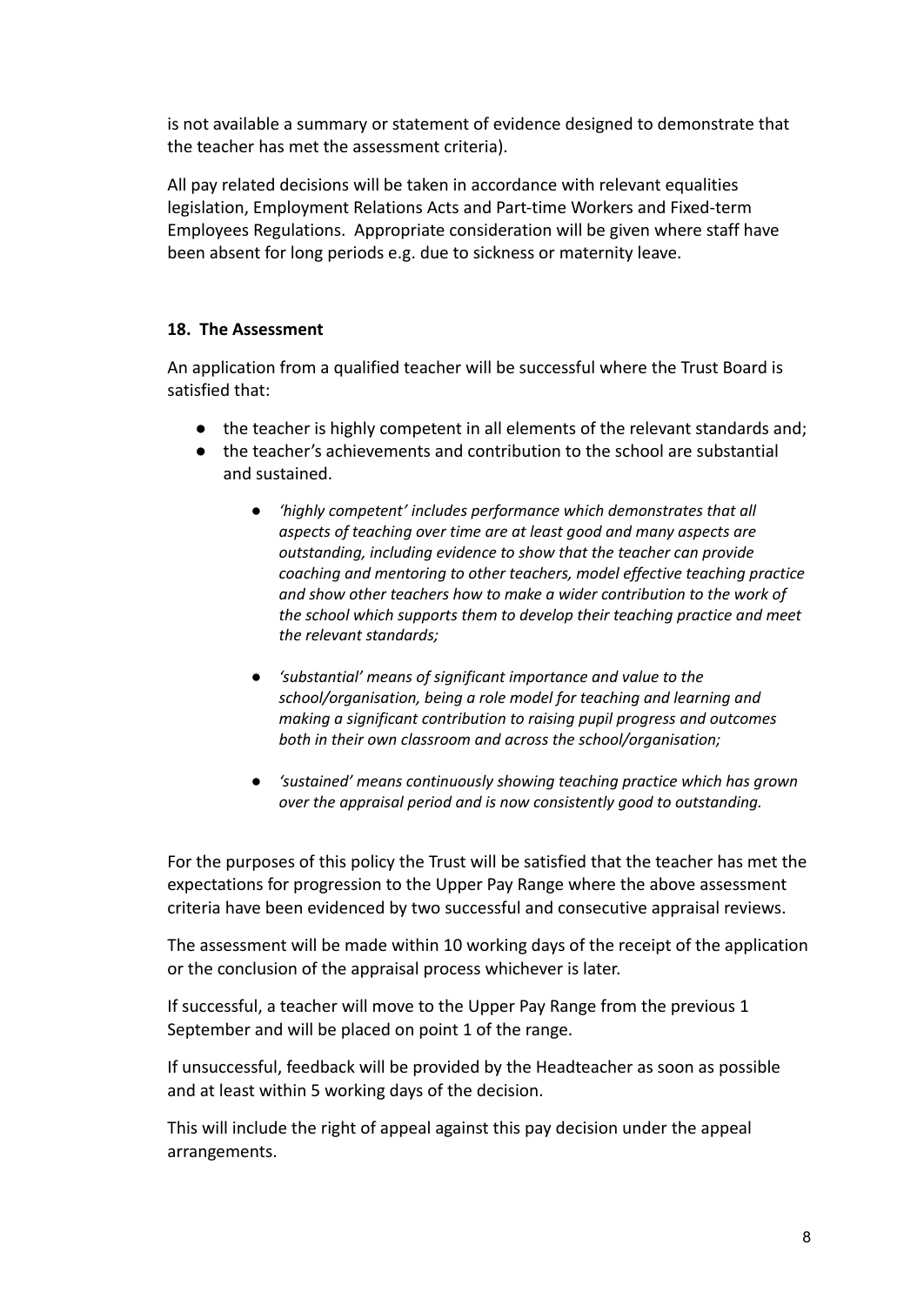is not available a summary or statement of evidence designed to demonstrate that the teacher has met the assessment criteria).

All pay related decisions will be taken in accordance with relevant equalities legislation, Employment Relations Acts and Part-time Workers and Fixed-term Employees Regulations. Appropriate consideration will be given where staff have been absent for long periods e.g. due to sickness or maternity leave.

## **18. The Assessment**

An application from a qualified teacher will be successful where the Trust Board is satisfied that:

- the teacher is highly competent in all elements of the relevant standards and;
- the teacher's achievements and contribution to the school are substantial and sustained.
	- *● 'highly competent' includes performance which demonstrates that all aspects of teaching over time are at least good and many aspects are outstanding, including evidence to show that the teacher can provide coaching and mentoring to other teachers, model effective teaching practice and show other teachers how to make a wider contribution to the work of the school which supports them to develop their teaching practice and meet the relevant standards;*
	- *● 'substantial' means of significant importance and value to the school/organisation, being a role model for teaching and learning and making a significant contribution to raising pupil progress and outcomes both in their own classroom and across the school/organisation;*
	- *● 'sustained' means continuously showing teaching practice which has grown over the appraisal period and is now consistently good to outstanding.*

For the purposes of this policy the Trust will be satisfied that the teacher has met the expectations for progression to the Upper Pay Range where the above assessment criteria have been evidenced by two successful and consecutive appraisal reviews.

The assessment will be made within 10 working days of the receipt of the application or the conclusion of the appraisal process whichever is later.

If successful, a teacher will move to the Upper Pay Range from the previous 1 September and will be placed on point 1 of the range.

If unsuccessful, feedback will be provided by the Headteacher as soon as possible and at least within 5 working days of the decision.

This will include the right of appeal against this pay decision under the appeal arrangements.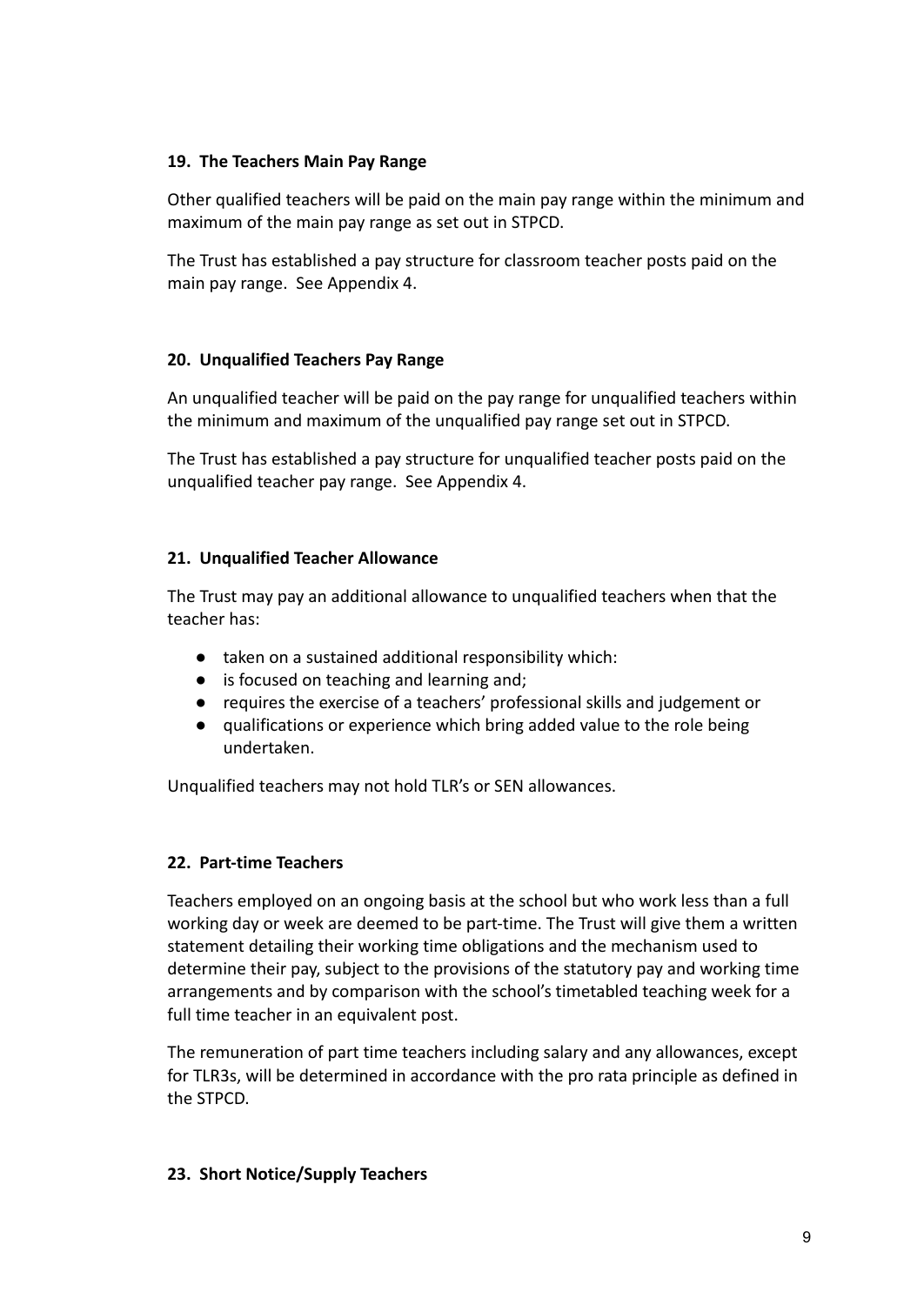### **19. The Teachers Main Pay Range**

Other qualified teachers will be paid on the main pay range within the minimum and maximum of the main pay range as set out in STPCD.

The Trust has established a pay structure for classroom teacher posts paid on the main pay range. See Appendix 4.

## **20. Unqualified Teachers Pay Range**

An unqualified teacher will be paid on the pay range for unqualified teachers within the minimum and maximum of the unqualified pay range set out in STPCD.

The Trust has established a pay structure for unqualified teacher posts paid on the unqualified teacher pay range. See Appendix 4.

## **21. Unqualified Teacher Allowance**

The Trust may pay an additional allowance to unqualified teachers when that the teacher has:

- taken on a sustained additional responsibility which:
- is focused on teaching and learning and;
- requires the exercise of a teachers' professional skills and judgement or
- qualifications or experience which bring added value to the role being undertaken.

Unqualified teachers may not hold TLR's or SEN allowances.

## **22. Part-time Teachers**

Teachers employed on an ongoing basis at the school but who work less than a full working day or week are deemed to be part-time. The Trust will give them a written statement detailing their working time obligations and the mechanism used to determine their pay, subject to the provisions of the statutory pay and working time arrangements and by comparison with the school's timetabled teaching week for a full time teacher in an equivalent post.

The remuneration of part time teachers including salary and any allowances, except for TLR3s, will be determined in accordance with the pro rata principle as defined in the STPCD.

#### **23. Short Notice/Supply Teachers**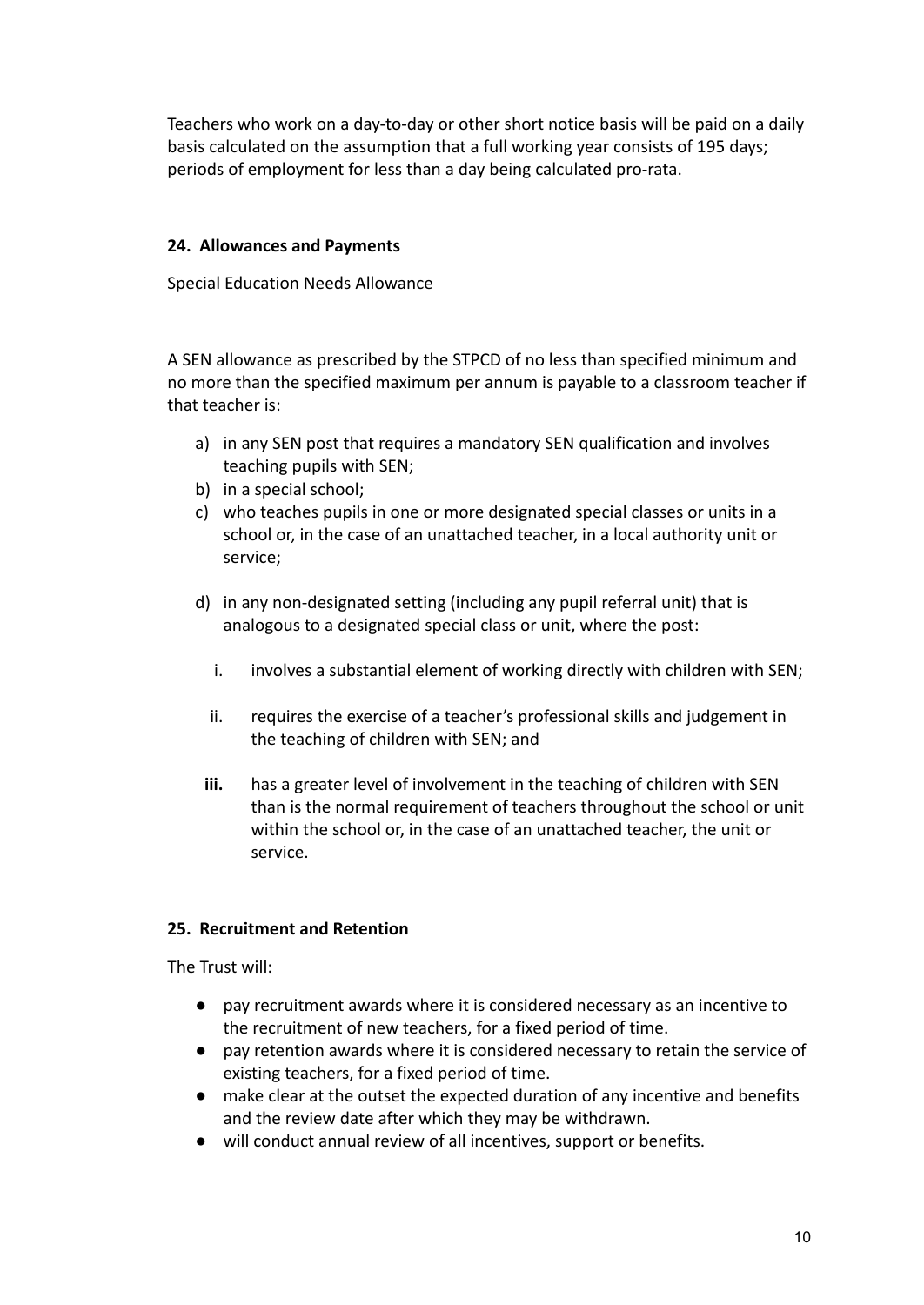Teachers who work on a day-to-day or other short notice basis will be paid on a daily basis calculated on the assumption that a full working year consists of 195 days; periods of employment for less than a day being calculated pro-rata.

## **24. Allowances and Payments**

Special Education Needs Allowance

A SEN allowance as prescribed by the STPCD of no less than specified minimum and no more than the specified maximum per annum is payable to a classroom teacher if that teacher is:

- a) in any SEN post that requires a mandatory SEN qualification and involves teaching pupils with SEN;
- b) in a special school;
- c) who teaches pupils in one or more designated special classes or units in a school or, in the case of an unattached teacher, in a local authority unit or service;
- d) in any non-designated setting (including any pupil referral unit) that is analogous to a designated special class or unit, where the post:
	- i. involves a substantial element of working directly with children with SEN;
	- ii. requires the exercise of a teacher's professional skills and judgement in the teaching of children with SEN; and
	- **iii.** has a greater level of involvement in the teaching of children with SEN than is the normal requirement of teachers throughout the school or unit within the school or, in the case of an unattached teacher, the unit or service.

## **25. Recruitment and Retention**

The Trust will:

- pay recruitment awards where it is considered necessary as an incentive to the recruitment of new teachers, for a fixed period of time.
- pay retention awards where it is considered necessary to retain the service of existing teachers, for a fixed period of time.
- make clear at the outset the expected duration of any incentive and benefits and the review date after which they may be withdrawn.
- will conduct annual review of all incentives, support or benefits.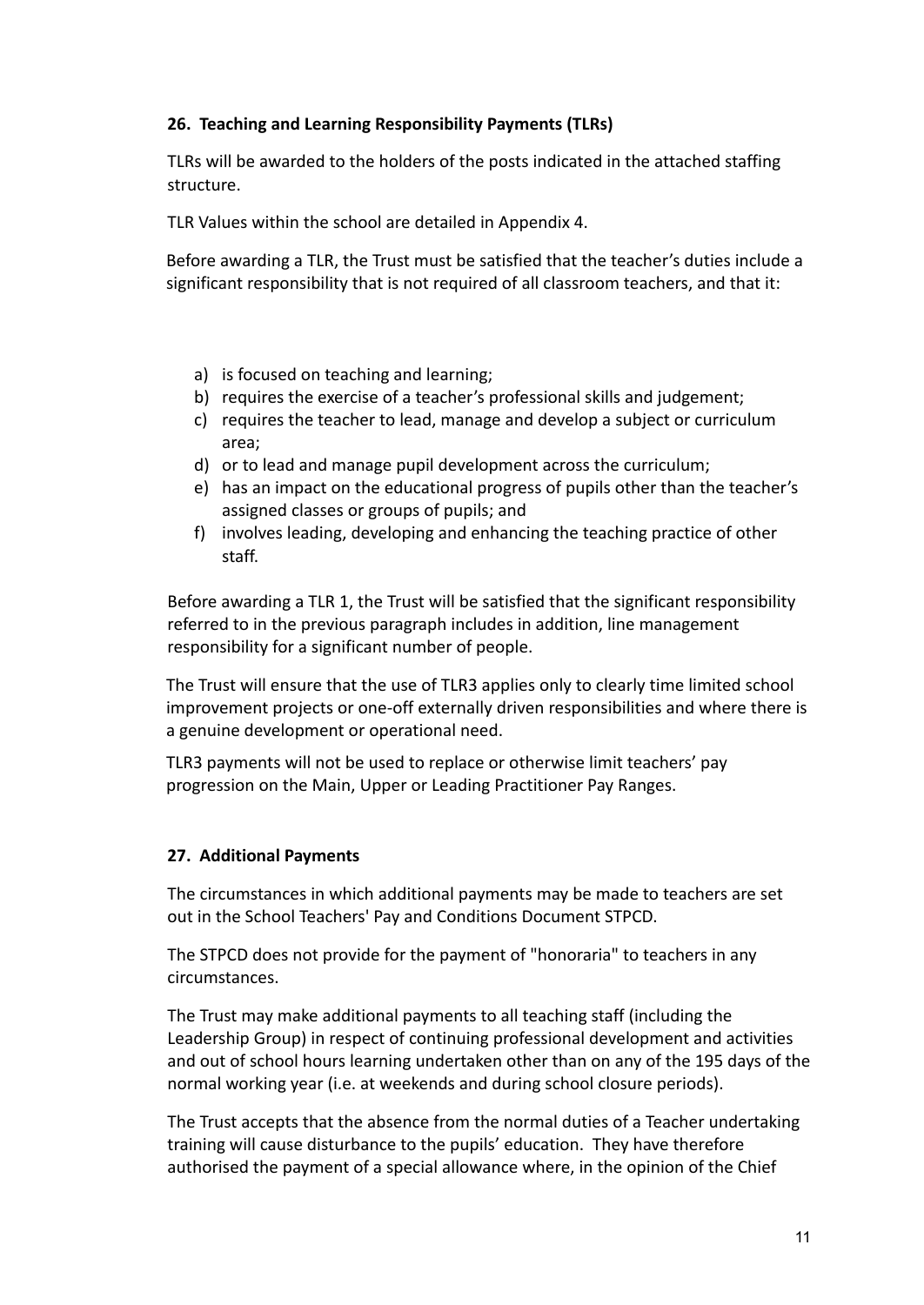## **26. Teaching and Learning Responsibility Payments (TLRs)**

TLRs will be awarded to the holders of the posts indicated in the attached staffing structure.

TLR Values within the school are detailed in Appendix 4.

Before awarding a TLR, the Trust must be satisfied that the teacher's duties include a significant responsibility that is not required of all classroom teachers, and that it:

- a) is focused on teaching and learning;
- b) requires the exercise of a teacher's professional skills and judgement;
- c) requires the teacher to lead, manage and develop a subject or curriculum area;
- d) or to lead and manage pupil development across the curriculum;
- e) has an impact on the educational progress of pupils other than the teacher's assigned classes or groups of pupils; and
- f) involves leading, developing and enhancing the teaching practice of other staff.

Before awarding a TLR 1, the Trust will be satisfied that the significant responsibility referred to in the previous paragraph includes in addition, line management responsibility for a significant number of people.

The Trust will ensure that the use of TLR3 applies only to clearly time limited school improvement projects or one-off externally driven responsibilities and where there is a genuine development or operational need.

TLR3 payments will not be used to replace or otherwise limit teachers' pay progression on the Main, Upper or Leading Practitioner Pay Ranges.

## **27. Additional Payments**

The circumstances in which additional payments may be made to teachers are set out in the School Teachers' Pay and Conditions Document STPCD.

The STPCD does not provide for the payment of "honoraria" to teachers in any circumstances.

The Trust may make additional payments to all teaching staff (including the Leadership Group) in respect of continuing professional development and activities and out of school hours learning undertaken other than on any of the 195 days of the normal working year (i.e. at weekends and during school closure periods).

The Trust accepts that the absence from the normal duties of a Teacher undertaking training will cause disturbance to the pupils' education. They have therefore authorised the payment of a special allowance where, in the opinion of the Chief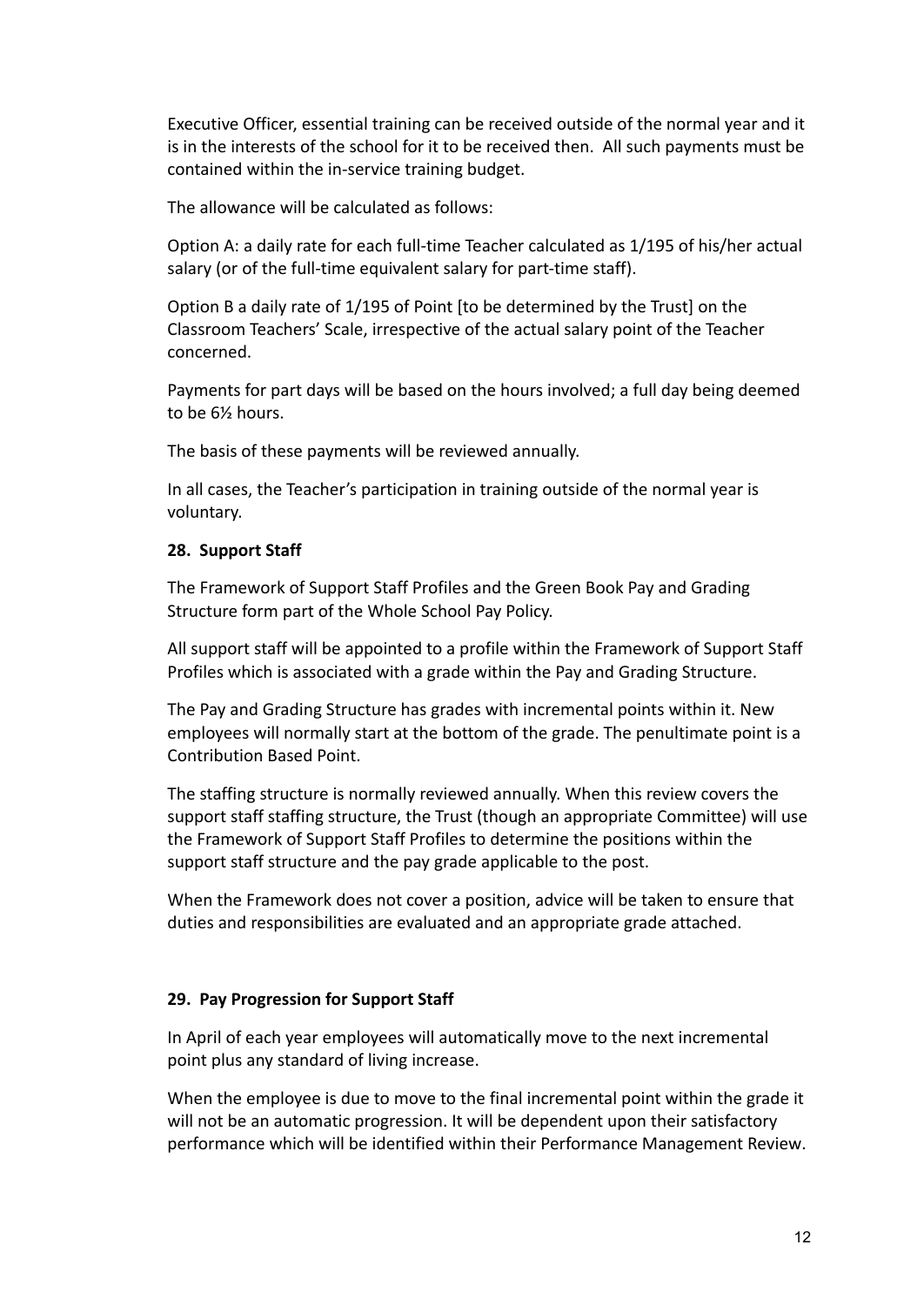Executive Officer, essential training can be received outside of the normal year and it is in the interests of the school for it to be received then. All such payments must be contained within the in-service training budget.

The allowance will be calculated as follows:

Option A: a daily rate for each full-time Teacher calculated as 1/195 of his/her actual salary (or of the full-time equivalent salary for part-time staff).

Option B a daily rate of 1/195 of Point [to be determined by the Trust] on the Classroom Teachers' Scale, irrespective of the actual salary point of the Teacher concerned.

Payments for part days will be based on the hours involved; a full day being deemed to be 6½ hours.

The basis of these payments will be reviewed annually.

In all cases, the Teacher's participation in training outside of the normal year is voluntary.

#### **28. Support Staff**

The Framework of Support Staff Profiles and the Green Book Pay and Grading Structure form part of the Whole School Pay Policy.

All support staff will be appointed to a profile within the Framework of Support Staff Profiles which is associated with a grade within the Pay and Grading Structure.

The Pay and Grading Structure has grades with incremental points within it. New employees will normally start at the bottom of the grade. The penultimate point is a Contribution Based Point.

The staffing structure is normally reviewed annually. When this review covers the support staff staffing structure, the Trust (though an appropriate Committee) will use the Framework of Support Staff Profiles to determine the positions within the support staff structure and the pay grade applicable to the post.

When the Framework does not cover a position, advice will be taken to ensure that duties and responsibilities are evaluated and an appropriate grade attached.

#### **29. Pay Progression for Support Staff**

In April of each year employees will automatically move to the next incremental point plus any standard of living increase.

When the employee is due to move to the final incremental point within the grade it will not be an automatic progression. It will be dependent upon their satisfactory performance which will be identified within their [Performance Management Review](http://education.staffordshire.gov.uk/School-Admin/HR-Processes-Payroll/HR-Procedures/Performance-Management/Schools-Support-Staff/Performance-Management---School-Support-Staff.aspx).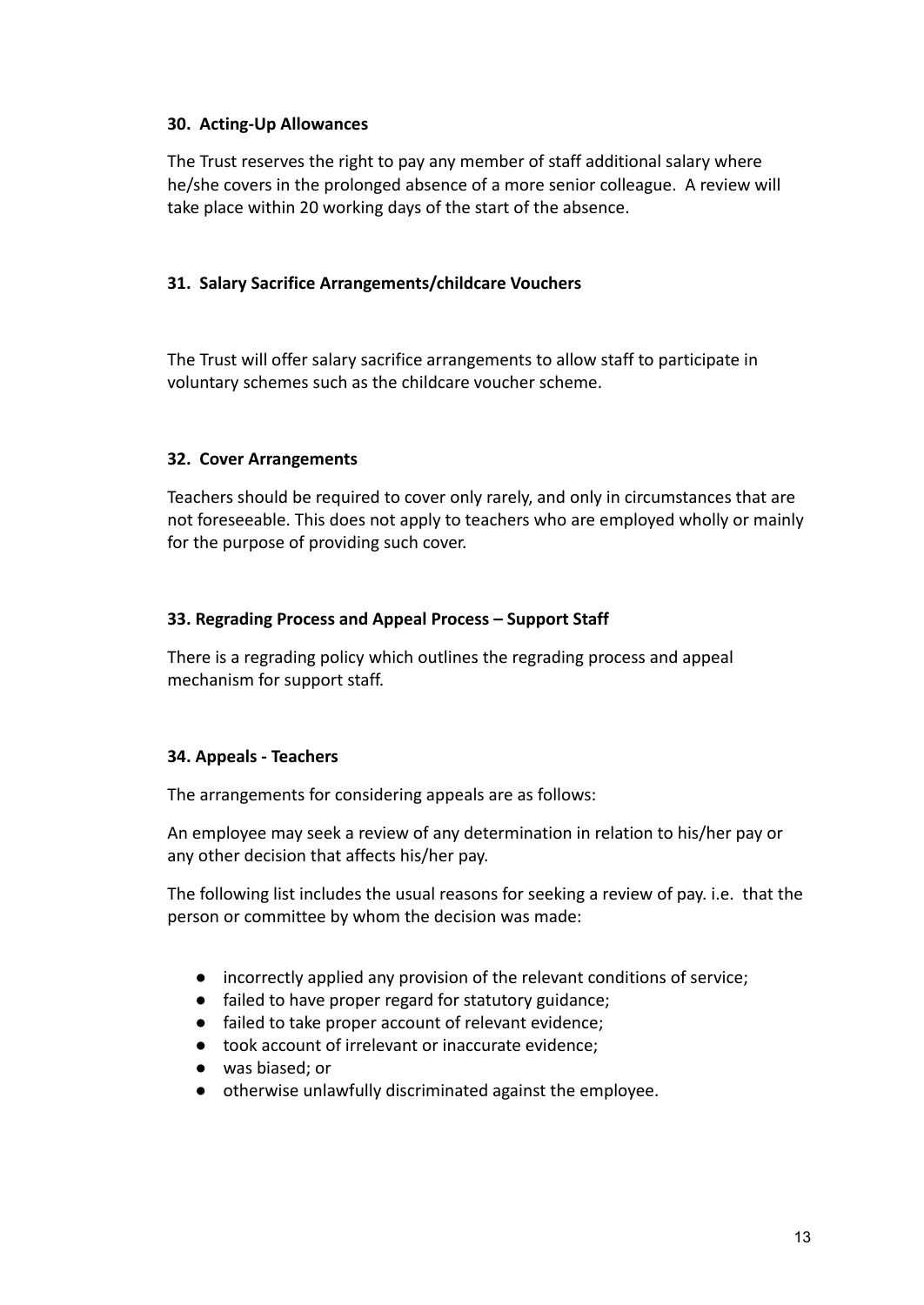## **30. Acting-Up Allowances**

The Trust reserves the right to pay any member of staff additional salary where he/she covers in the prolonged absence of a more senior colleague. A review will take place within 20 working days of the start of the absence.

## **31. Salary Sacrifice Arrangements/childcare Vouchers**

The Trust will offer salary sacrifice arrangements to allow staff to participate in voluntary schemes such as the childcare voucher scheme.

## **32. Cover Arrangements**

Teachers should be required to cover only rarely, and only in circumstances that are not foreseeable. This does not apply to teachers who are employed wholly or mainly for the purpose of providing such cover.

## **33. Regrading Process and Appeal Process – Support Staff**

There is a regrading policy which outlines the regrading process and appeal mechanism for support staff.

## **34. Appeals - Teachers**

The arrangements for considering appeals are as follows:

An employee may seek a review of any determination in relation to his/her pay or any other decision that affects his/her pay.

The following list includes the usual reasons for seeking a review of pay. i.e. that the person or committee by whom the decision was made:

- incorrectly applied any provision of the relevant conditions of service;
- failed to have proper regard for statutory guidance;
- failed to take proper account of relevant evidence;
- took account of irrelevant or inaccurate evidence;
- was biased; or
- otherwise unlawfully discriminated against the employee.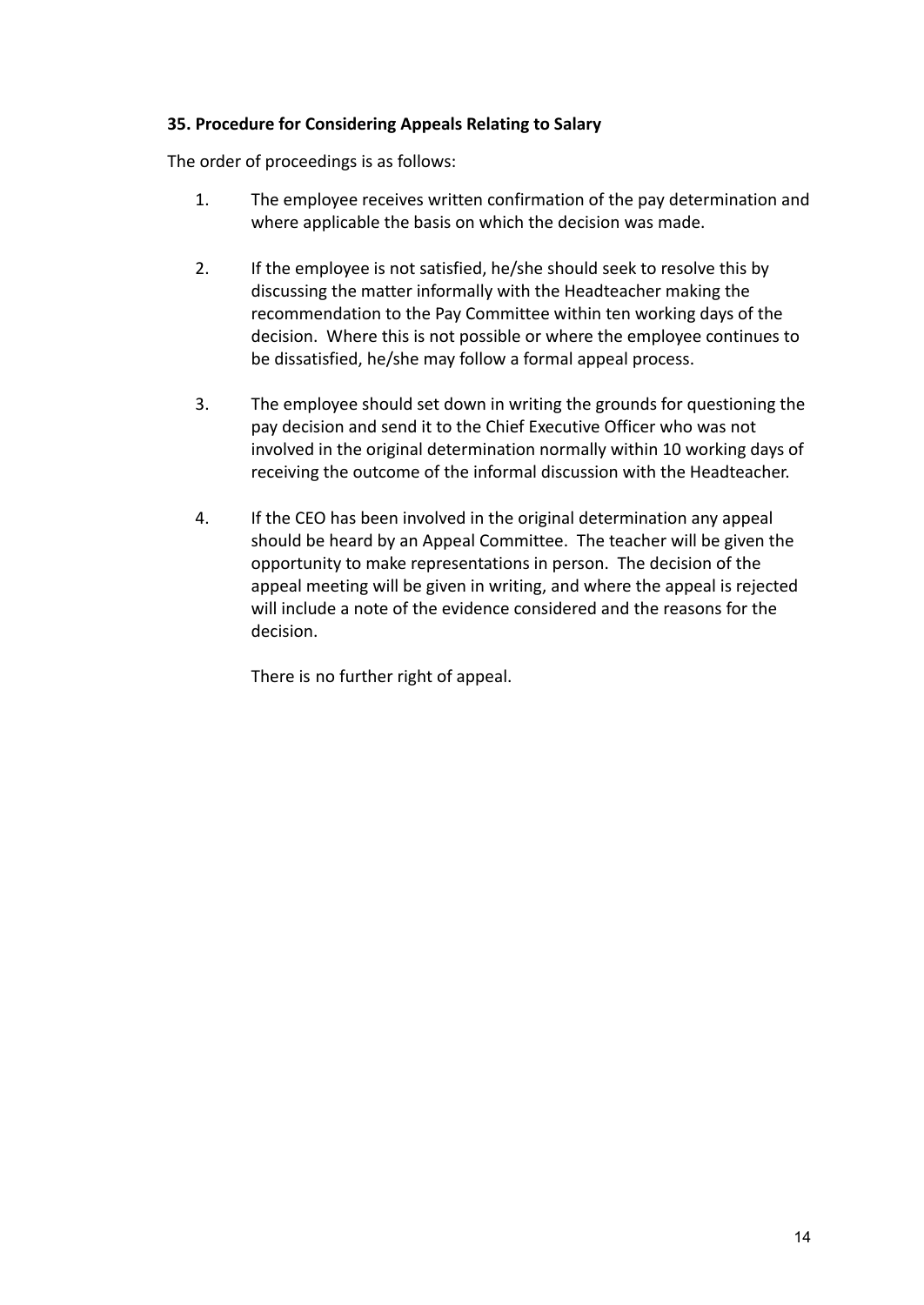## **35. Procedure for Considering Appeals Relating to Salary**

The order of proceedings is as follows:

- 1. The employee receives written confirmation of the pay determination and where applicable the basis on which the decision was made.
- 2. If the employee is not satisfied, he/she should seek to resolve this by discussing the matter informally with the Headteacher making the recommendation to the Pay Committee within ten working days of the decision. Where this is not possible or where the employee continues to be dissatisfied, he/she may follow a formal appeal process.
- 3. The employee should set down in writing the grounds for questioning the pay decision and send it to the Chief Executive Officer who was not involved in the original determination normally within 10 working days of receiving the outcome of the informal discussion with the Headteacher.
- 4. If the CEO has been involved in the original determination any appeal should be heard by an Appeal Committee. The teacher will be given the opportunity to make representations in person. The decision of the appeal meeting will be given in writing, and where the appeal is rejected will include a note of the evidence considered and the reasons for the decision.

There is no further right of appeal.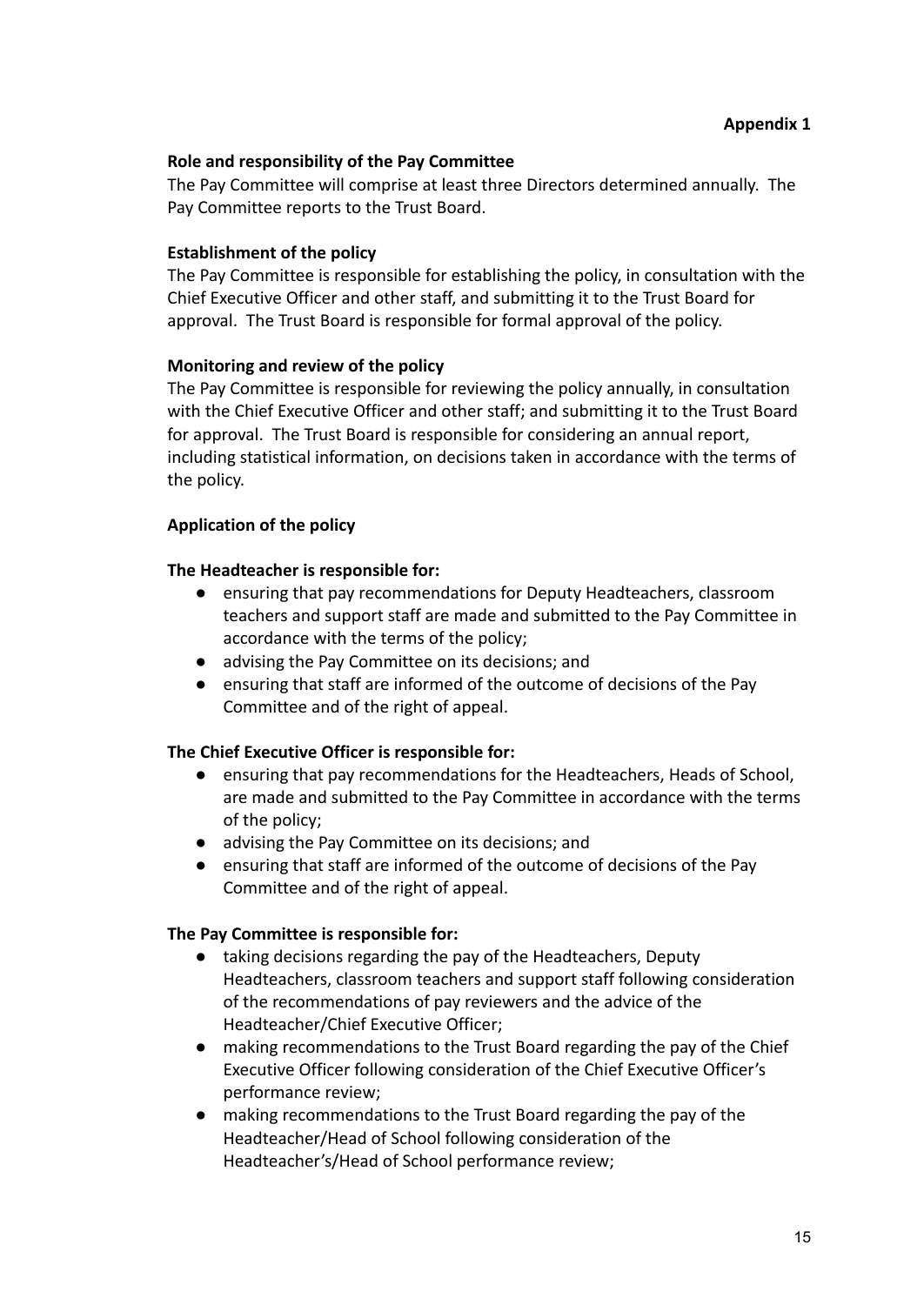#### **Role and responsibility of the Pay Committee**

The Pay Committee will comprise at least three Directors determined annually. The Pay Committee reports to the Trust Board.

#### **Establishment of the policy**

The Pay Committee is responsible for establishing the policy, in consultation with the Chief Executive Officer and other staff, and submitting it to the Trust Board for approval. The Trust Board is responsible for formal approval of the policy.

#### **Monitoring and review of the policy**

The Pay Committee is responsible for reviewing the policy annually, in consultation with the Chief Executive Officer and other staff; and submitting it to the Trust Board for approval. The Trust Board is responsible for considering an annual report, including statistical information, on decisions taken in accordance with the terms of the policy.

#### **Application of the policy**

#### **The Headteacher is responsible for:**

- ensuring that pay recommendations for Deputy Headteachers, classroom teachers and support staff are made and submitted to the Pay Committee in accordance with the terms of the policy;
- advising the Pay Committee on its decisions; and
- ensuring that staff are informed of the outcome of decisions of the Pay Committee and of the right of appeal.

#### **The Chief Executive Officer is responsible for:**

- ensuring that pay recommendations for the Headteachers, Heads of School, are made and submitted to the Pay Committee in accordance with the terms of the policy;
- advising the Pay Committee on its decisions; and
- ensuring that staff are informed of the outcome of decisions of the Pay Committee and of the right of appeal.

#### **The Pay Committee is responsible for:**

- taking decisions regarding the pay of the Headteachers, Deputy Headteachers, classroom teachers and support staff following consideration of the recommendations of pay reviewers and the advice of the Headteacher/Chief Executive Officer;
- making recommendations to the Trust Board regarding the pay of the Chief Executive Officer following consideration of the Chief Executive Officer's performance review;
- making recommendations to the Trust Board regarding the pay of the Headteacher/Head of School following consideration of the Headteacher's/Head of School performance review;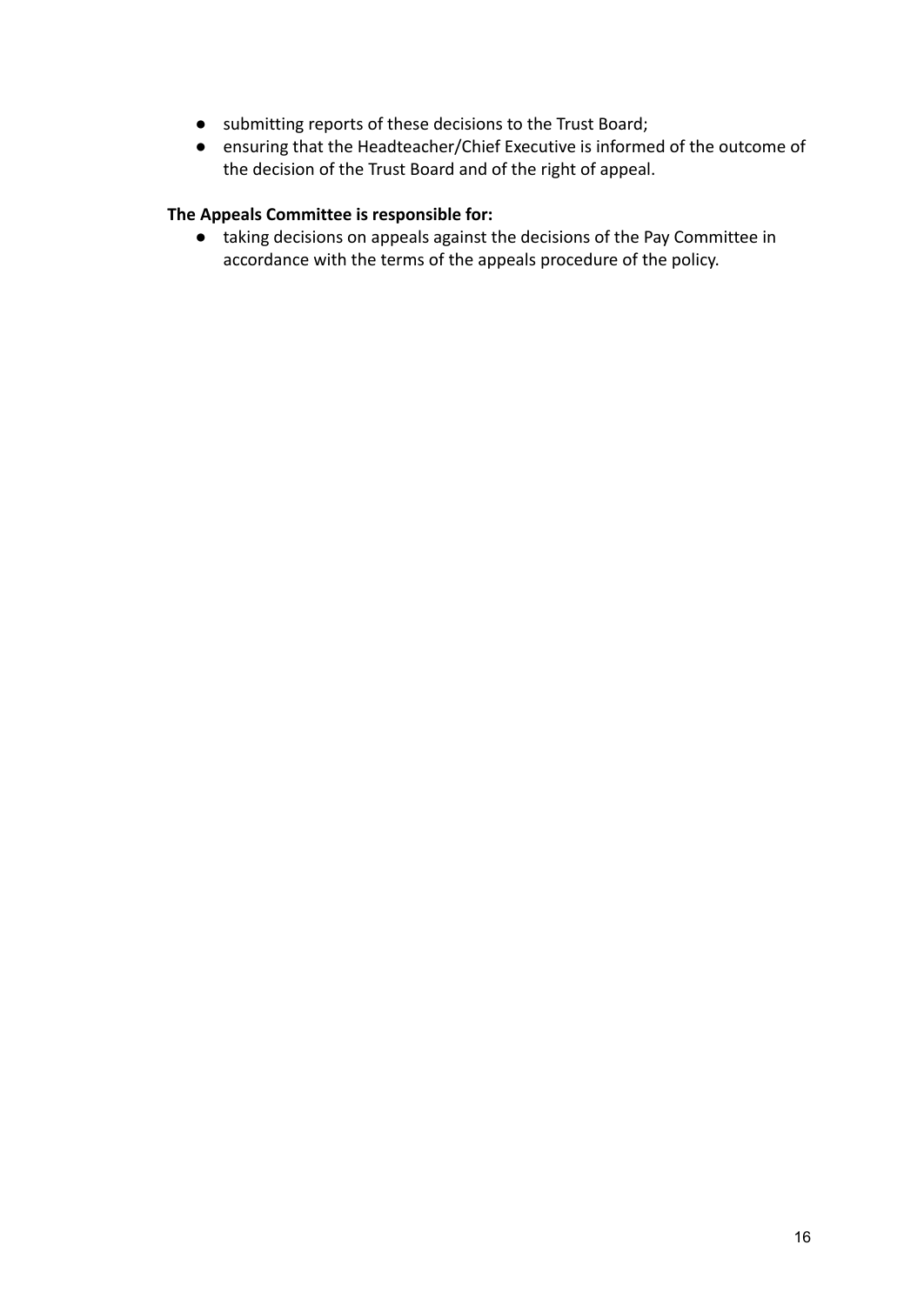- submitting reports of these decisions to the Trust Board;
- ensuring that the Headteacher/Chief Executive is informed of the outcome of the decision of the Trust Board and of the right of appeal.

## **The Appeals Committee is responsible for:**

● taking decisions on appeals against the decisions of the Pay Committee in accordance with the terms of the appeals procedure of the policy.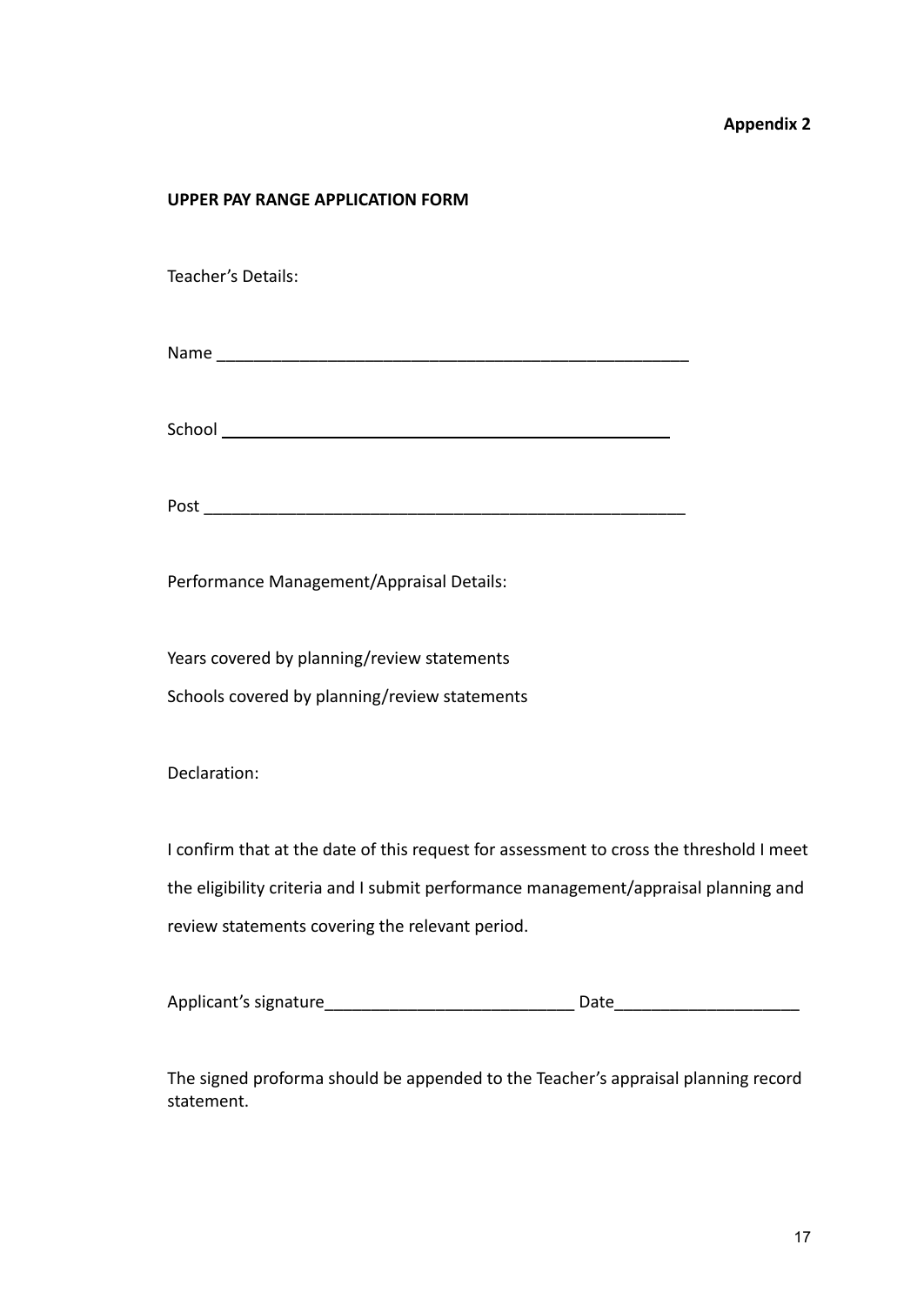#### **Appendix 2**

#### **UPPER PAY RANGE APPLICATION FORM**

Teacher's Details:

Name \_\_\_\_\_\_\_\_\_\_\_\_\_\_\_\_\_\_\_\_\_\_\_\_\_\_\_\_\_\_\_\_\_\_\_\_\_\_\_\_\_\_\_\_\_\_\_\_\_\_\_

School **School School School School School School School School School School School School School School School School School School School School School School School School** 

Post  $\overline{\phantom{a}}$ 

Performance Management/Appraisal Details:

Years covered by planning/review statements Schools covered by planning/review statements

Declaration:

I confirm that at the date of this request for assessment to cross the threshold I meet the eligibility criteria and I submit performance management/appraisal planning and review statements covering the relevant period.

| Applicant's signature | つate |
|-----------------------|------|
|-----------------------|------|

The signed proforma should be appended to the Teacher's appraisal planning record statement.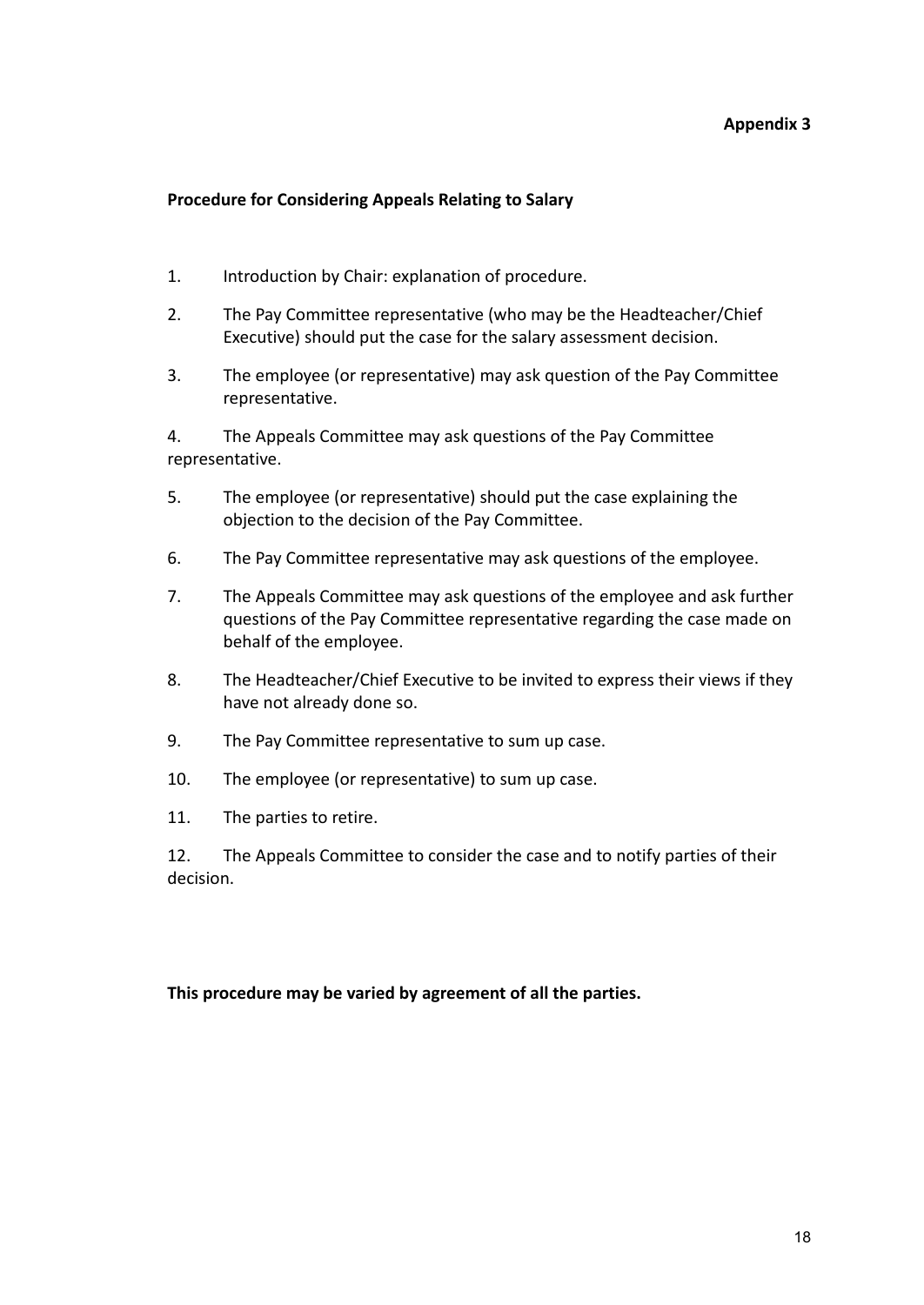#### **Appendix 3**

#### **Procedure for Considering Appeals Relating to Salary**

- 1. Introduction by Chair: explanation of procedure.
- 2. The Pay Committee representative (who may be the Headteacher/Chief Executive) should put the case for the salary assessment decision.
- 3. The employee (or representative) may ask question of the Pay Committee representative.

4. The Appeals Committee may ask questions of the Pay Committee representative.

- 5. The employee (or representative) should put the case explaining the objection to the decision of the Pay Committee.
- 6. The Pay Committee representative may ask questions of the employee.
- 7. The Appeals Committee may ask questions of the employee and ask further questions of the Pay Committee representative regarding the case made on behalf of the employee.
- 8. The Headteacher/Chief Executive to be invited to express their views if they have not already done so.
- 9. The Pay Committee representative to sum up case.
- 10. The employee (or representative) to sum up case.
- 11. The parties to retire.

12. The Appeals Committee to consider the case and to notify parties of their decision.

#### **This procedure may be varied by agreement of all the parties.**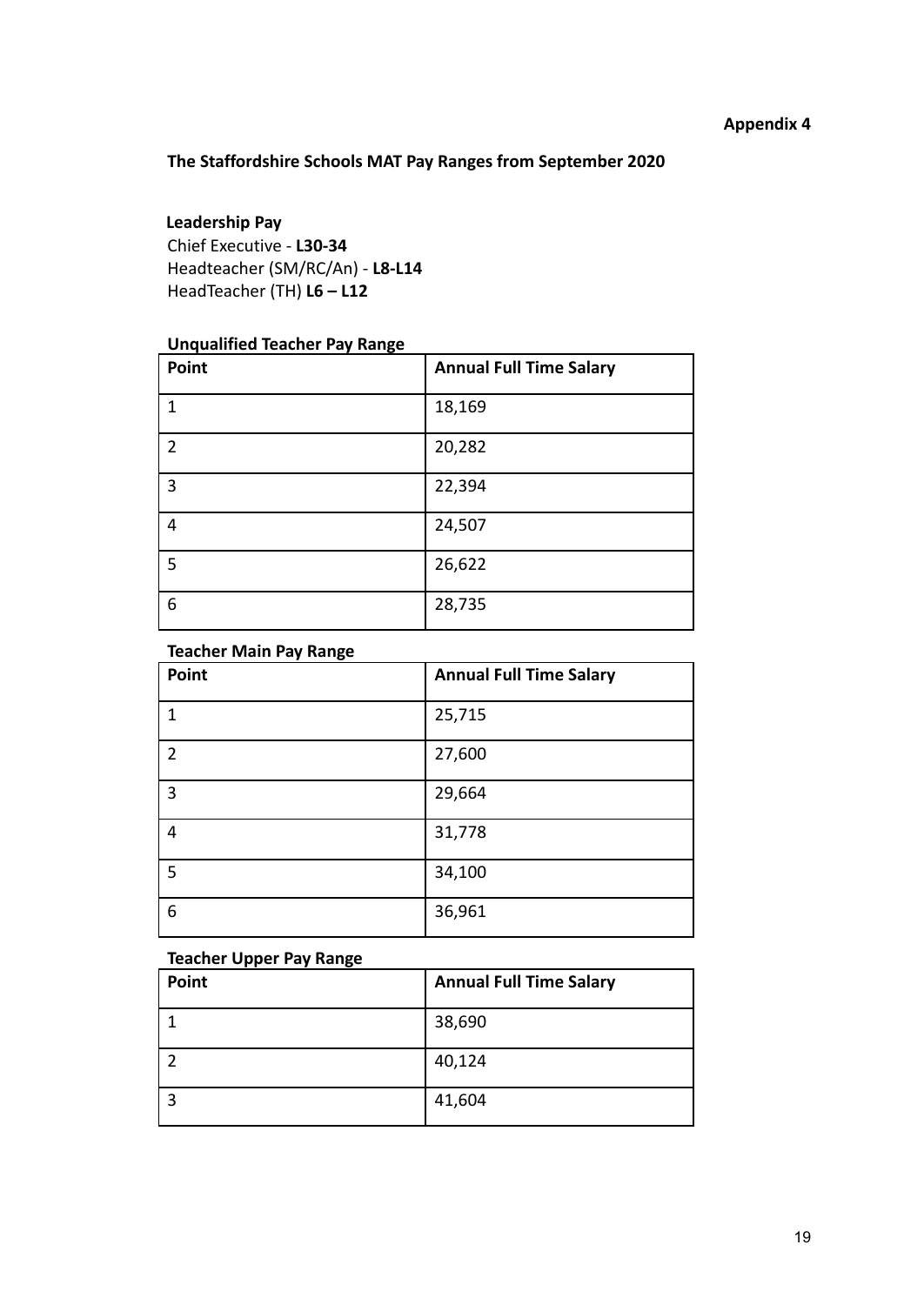## **The Staffordshire Schools MAT Pay Ranges from September 2020**

## **Leadership Pay**

Chief Executive - **L30-34** Headteacher (SM/RC/An) - **L8-L14** HeadTeacher (TH) **L6 – L12**

## **Unqualified Teacher Pay Range**

| Point          | <b>Annual Full Time Salary</b> |
|----------------|--------------------------------|
| 1              | 18,169                         |
| $\overline{2}$ | 20,282                         |
| $\overline{3}$ | 22,394                         |
| 4              | 24,507                         |
| 5              | 26,622                         |
| 6              | 28,735                         |

#### **Teacher Main Pay Range**

| ÷<br>Point      | <b>Annual Full Time Salary</b> |
|-----------------|--------------------------------|
| 1               | 25,715                         |
| 2               | 27,600                         |
| 3               | 29,664                         |
| 4               | 31,778                         |
| $5\overline{)}$ | 34,100                         |
| $6\phantom{1}6$ | 36,961                         |

#### **Teacher Upper Pay Range**

| Point | <b>Annual Full Time Salary</b> |
|-------|--------------------------------|
|       | 38,690                         |
|       | 40,124                         |
| ີ     | 41,604                         |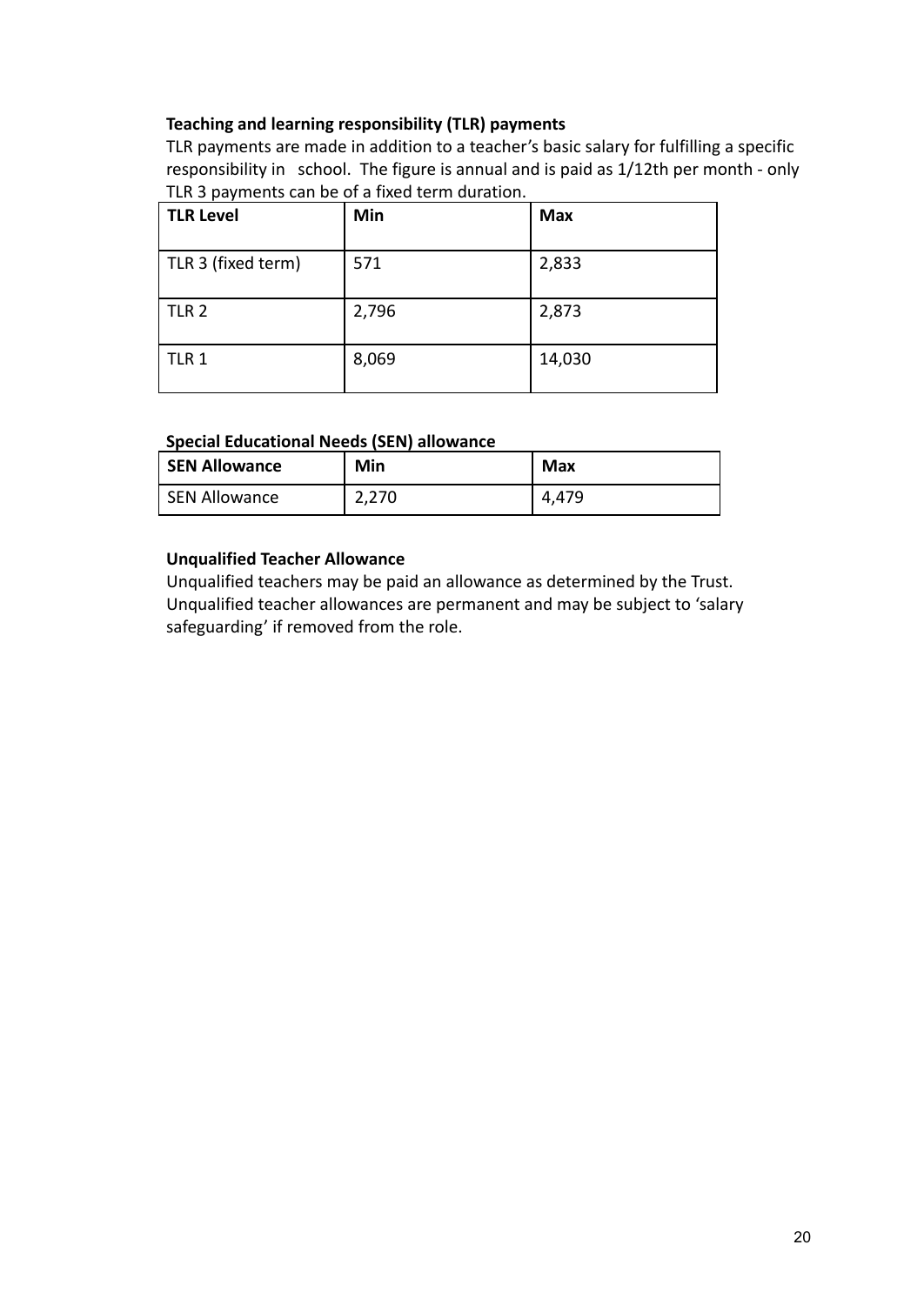## **Teaching and learning responsibility (TLR) payments**

TLR payments are made in addition to a teacher's basic salary for fulfilling a specific responsibility in school. The figure is annual and is paid as 1/12th per month - only TLR 3 payments can be of a fixed term duration.

| <b>TLR Level</b>   | Min   | <b>Max</b> |
|--------------------|-------|------------|
| TLR 3 (fixed term) | 571   | 2,833      |
| TLR <sub>2</sub>   | 2,796 | 2,873      |
| TLR 1              | 8,069 | 14,030     |

## **Special Educational Needs (SEN) allowance**

| <b>SEN Allowance</b> | Min   | Max   |
|----------------------|-------|-------|
| SEN Allowance        | 2,270 | 4,479 |

## **Unqualified Teacher Allowance**

Unqualified teachers may be paid an allowance as determined by the Trust. Unqualified teacher allowances are permanent and may be subject to 'salary safeguarding' if removed from the role.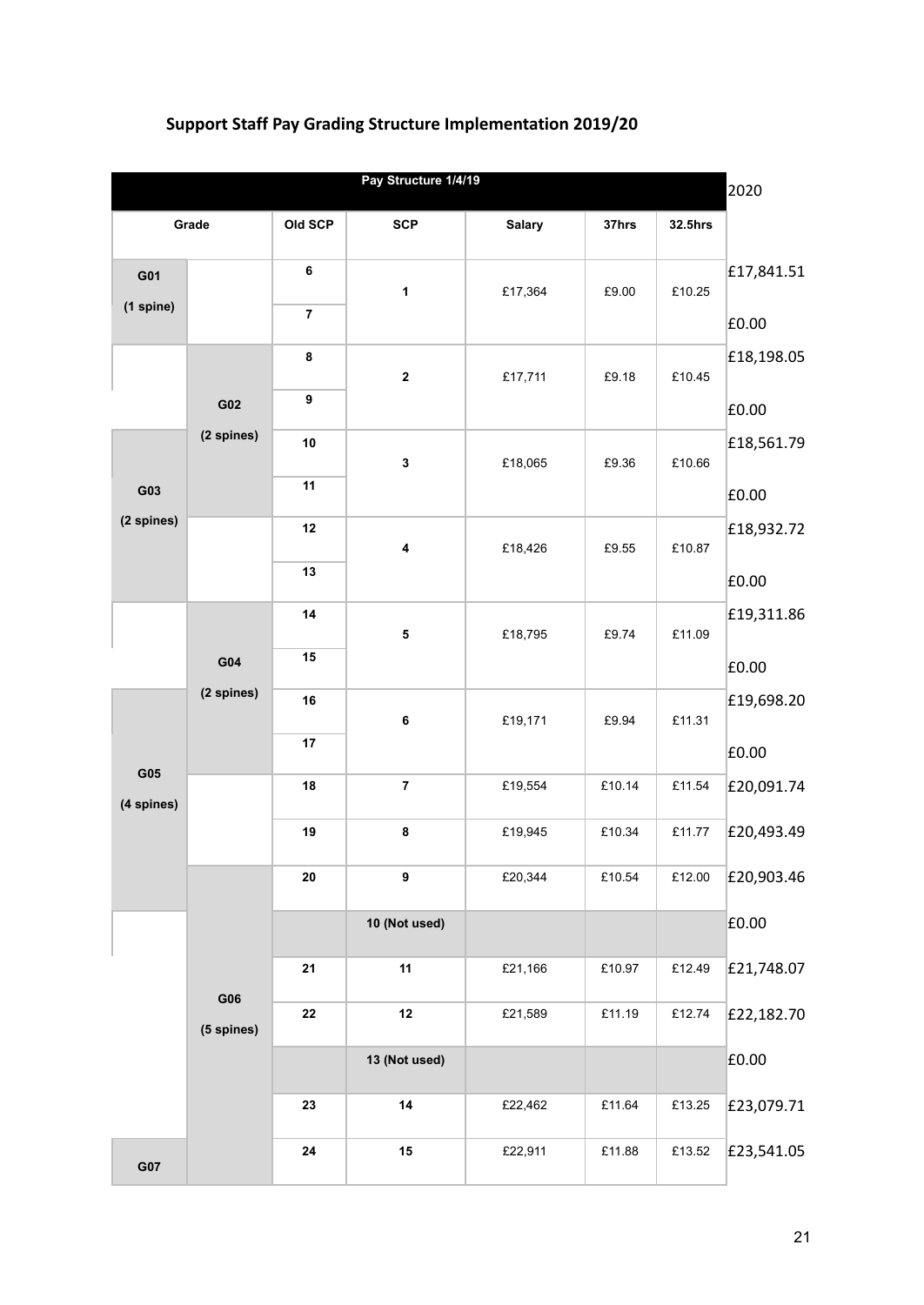## **Support Staff Pay Grading Structure Implementation 2019/20**

|                   |                   |            | Pay Structure 1/4/19    |               |        |         | 2020       |
|-------------------|-------------------|------------|-------------------------|---------------|--------|---------|------------|
|                   | Grade             | Old SCP    | <b>SCP</b>              | <b>Salary</b> | 37hrs  | 32.5hrs |            |
| G01               |                   | 6          | $\mathbf{1}$            | £17,364       | £9.00  | £10.25  | £17,841.51 |
| (1 spine)         |                   | 7          |                         |               |        |         | £0.00      |
|                   |                   | $\bf8$     | $\boldsymbol{2}$        | £17,711       | £9.18  | £10.45  | £18,198.05 |
|                   | G02               | 9          |                         |               |        |         | £0.00      |
|                   | (2 spines)        | 10         | $\mathbf 3$             | £18,065       | £9.36  | £10.66  | £18,561.79 |
| G03               |                   | 11         |                         |               |        |         | £0.00      |
| (2 spines)        |                   | 12         | 4                       | £18,426       | £9.55  | £10.87  | £18,932.72 |
|                   |                   | 13         |                         |               |        |         | £0.00      |
|                   |                   | 14         | ${\bf 5}$               | £18,795       | £9.74  | £11.09  | £19,311.86 |
|                   | G04               | 15         |                         |               |        |         | £0.00      |
|                   | (2 spines)        | 16         | $\bf 6$                 | £19,171       | £9.94  | £11.31  | £19,698.20 |
|                   |                   | 17         |                         |               |        |         | £0.00      |
| G05<br>(4 spines) |                   | 18         | $\overline{\mathbf{7}}$ | £19,554       | £10.14 | £11.54  | £20,091.74 |
|                   |                   | 19         | $\bf8$                  | £19,945       | £10.34 | £11.77  | £20,493.49 |
|                   |                   | ${\bf 20}$ | 9                       | £20,344       | £10.54 | £12.00  | £20,903.46 |
|                   |                   |            | 10 (Not used)           |               |        |         | £0.00      |
|                   |                   | 21         | 11                      | £21,166       | £10.97 | £12.49  | £21,748.07 |
|                   | G06<br>(5 spines) | ${\bf 22}$ | 12                      | £21,589       | £11.19 | £12.74  | £22,182.70 |
|                   |                   |            | 13 (Not used)           |               |        |         | £0.00      |
|                   |                   | 23         | 14                      | £22,462       | £11.64 | £13.25  | £23,079.71 |
| G07               |                   | ${\bf 24}$ | $15\,$                  | £22,911       | £11.88 | £13.52  | £23,541.05 |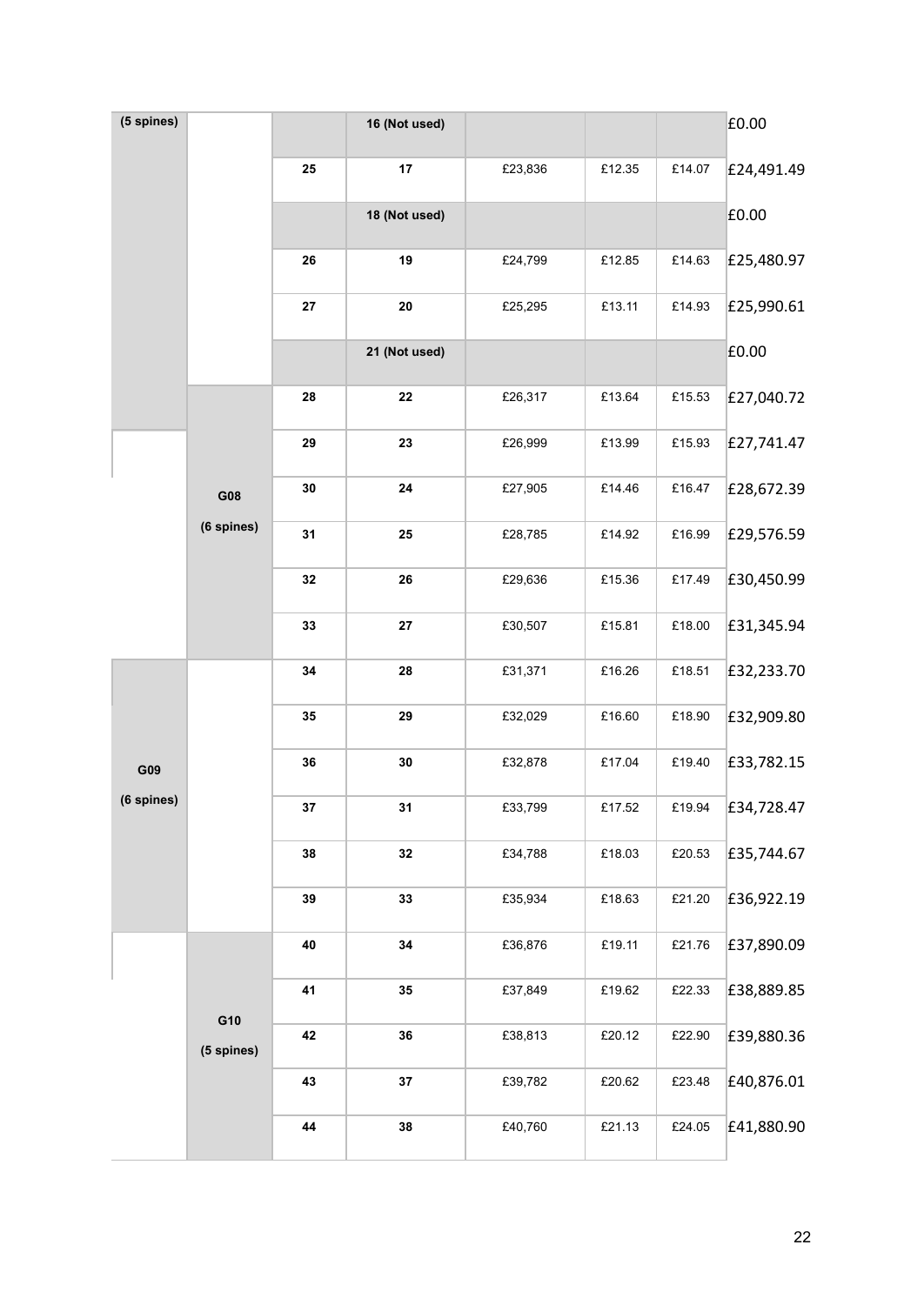| (5 spines) |            |            | 16 (Not used) |         |        |        | £0.00      |
|------------|------------|------------|---------------|---------|--------|--------|------------|
|            |            | ${\bf 25}$ | 17            | £23,836 | £12.35 | £14.07 | £24,491.49 |
|            |            |            | 18 (Not used) |         |        |        | £0.00      |
|            |            | 26         | 19            | £24,799 | £12.85 | £14.63 | £25,480.97 |
|            |            | 27         | ${\bf 20}$    | £25,295 | £13.11 | £14.93 | £25,990.61 |
|            |            |            | 21 (Not used) |         |        |        | £0.00      |
|            |            | 28         | ${\bf 22}$    | £26,317 | £13.64 | £15.53 | £27,040.72 |
|            |            | 29         | 23            | £26,999 | £13.99 | £15.93 | £27,741.47 |
|            | G08        | 30         | 24            | £27,905 | £14.46 | £16.47 | £28,672.39 |
|            | (6 spines) | 31         | 25            | £28,785 | £14.92 | £16.99 | £29,576.59 |
|            |            | 32         | 26            | £29,636 | £15.36 | £17.49 | £30,450.99 |
|            |            | 33         | ${\bf 27}$    | £30,507 | £15.81 | £18.00 | £31,345.94 |
|            |            | 34         | 28            | £31,371 | £16.26 | £18.51 | £32,233.70 |
|            |            | 35         | 29            | £32,029 | £16.60 | £18.90 | £32,909.80 |
| G09        |            | 36         | $30\,$        | £32,878 | £17.04 | £19.40 | £33,782.15 |
| (6 spines) |            | 37         | 31            | £33,799 | £17.52 | £19.94 | £34,728.47 |
|            |            | 38         | 32            | £34,788 | £18.03 | £20.53 | £35,744.67 |
|            |            | 39         | 33            | £35,934 | £18.63 | £21.20 | £36,922.19 |
|            |            | 40         | 34            | £36,876 | £19.11 | £21.76 | £37,890.09 |
|            | G10        | 41         | 35            | £37,849 | £19.62 | £22.33 | £38,889.85 |
|            | (5 spines) | 42         | 36            | £38,813 | £20.12 | £22.90 | £39,880.36 |
|            |            | 43         | 37            | £39,782 | £20.62 | £23.48 | £40,876.01 |
|            |            | 44         | 38            | £40,760 | £21.13 | £24.05 | £41,880.90 |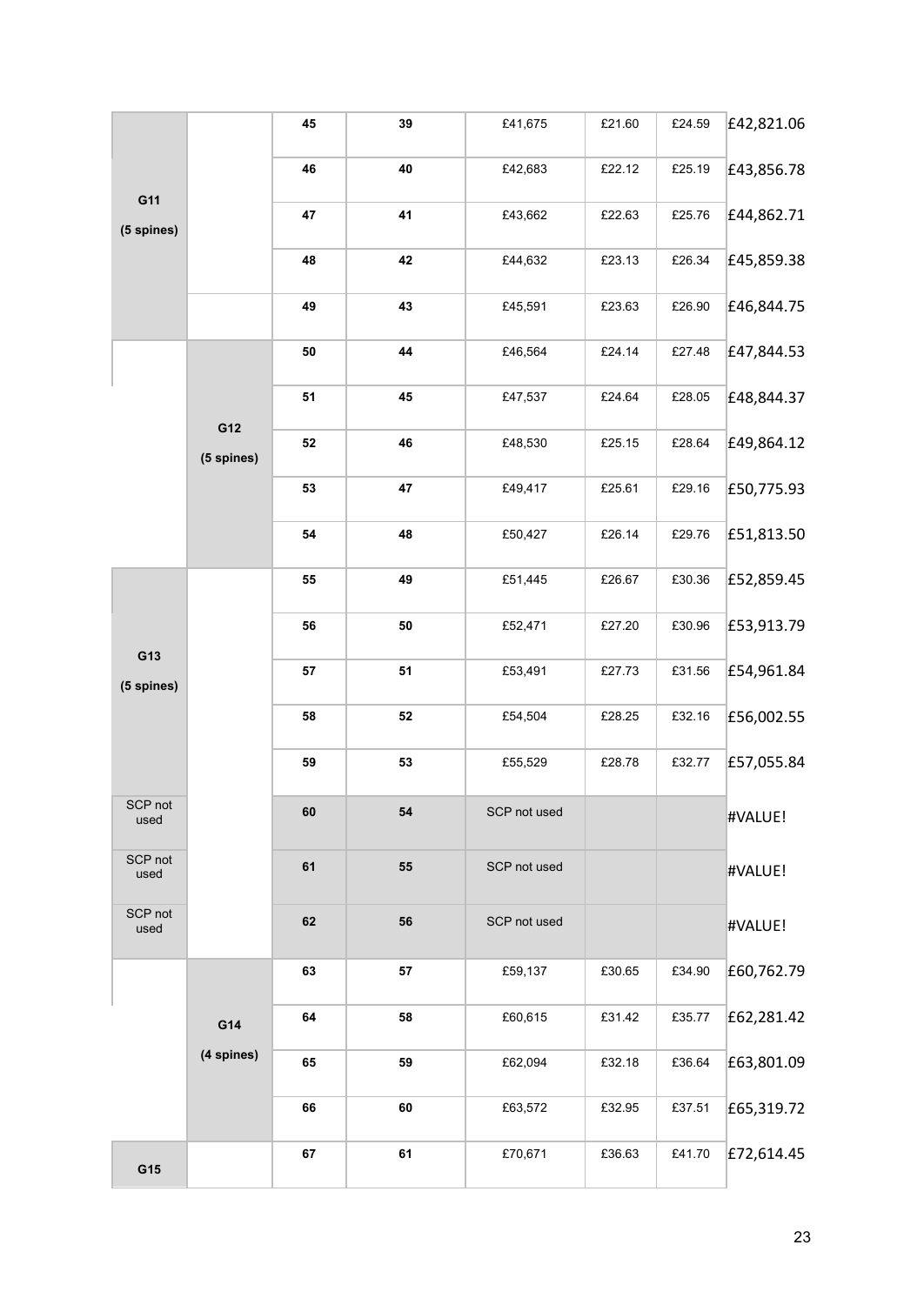|                 |            | 45 | 39         | £41,675      | £21.60 | £24.59 | £42,821.06 |
|-----------------|------------|----|------------|--------------|--------|--------|------------|
| G11             |            | 46 | 40         | £42,683      | £22.12 | £25.19 | £43,856.78 |
| (5 spines)      |            | 47 | 41         | £43,662      | £22.63 | £25.76 | £44,862.71 |
|                 |            | 48 | 42         | £44,632      | £23.13 | £26.34 | £45,859.38 |
|                 |            | 49 | 43         | £45,591      | £23.63 | £26.90 | £46,844.75 |
|                 |            | 50 | 44         | £46,564      | £24.14 | £27.48 | £47,844.53 |
|                 | G12        | 51 | 45         | £47,537      | £24.64 | £28.05 | £48,844.37 |
|                 | (5 spines) | 52 | 46         | £48,530      | £25.15 | £28.64 | £49,864.12 |
|                 |            | 53 | 47         | £49,417      | £25.61 | £29.16 | £50,775.93 |
|                 |            | 54 | 48         | £50,427      | £26.14 | £29.76 | £51,813.50 |
|                 |            | 55 | 49         | £51,445      | £26.67 | £30.36 | £52,859.45 |
| G13             |            | 56 | ${\bf 50}$ | £52,471      | £27.20 | £30.96 | £53,913.79 |
| (5 spines)      |            | 57 | 51         | £53,491      | £27.73 | £31.56 | £54,961.84 |
|                 |            | 58 | 52         | £54,504      | £28.25 | £32.16 | £56,002.55 |
|                 |            | 59 | 53         | £55,529      | £28.78 | £32.77 | £57,055.84 |
| SCP not<br>used |            | 60 | 54         | SCP not used |        |        | #VALUE!    |
| SCP not<br>used |            | 61 | 55         | SCP not used |        |        | #VALUE!    |
| SCP not<br>used |            | 62 | 56         | SCP not used |        |        | #VALUE!    |
|                 |            | 63 | 57         | £59,137      | £30.65 | £34.90 | £60,762.79 |
|                 | G14        | 64 | 58         | £60,615      | £31.42 | £35.77 | £62,281.42 |
|                 | (4 spines) | 65 | 59         | £62,094      | £32.18 | £36.64 | £63,801.09 |
|                 |            | 66 | 60         | £63,572      | £32.95 | £37.51 | £65,319.72 |
| G15             |            | 67 | 61         | £70,671      | £36.63 | £41.70 | £72,614.45 |